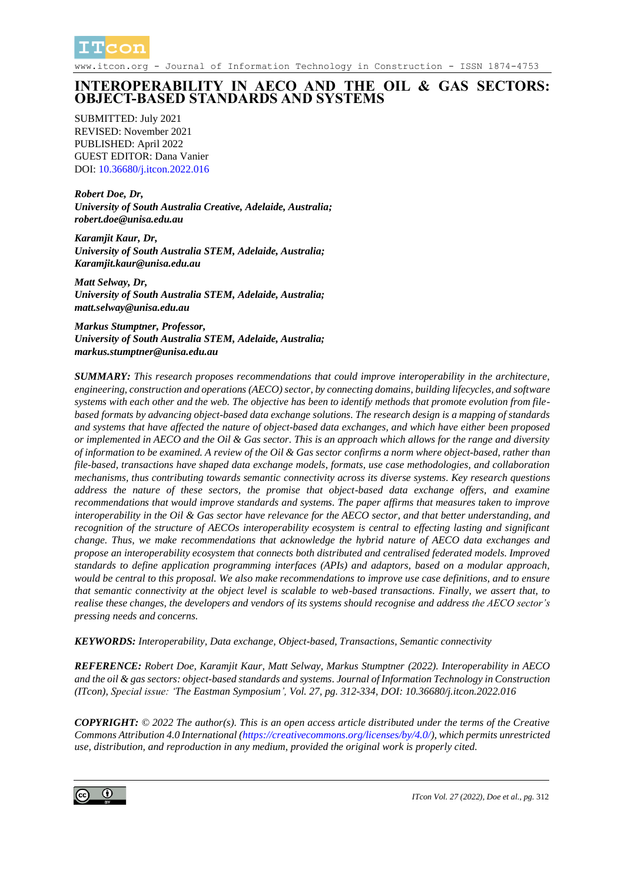

www.itcon.org - Journal of Information Technology in Construction - ISSN 1874-4753

# **INTEROPERABILITY IN AECO AND THE OIL & GAS SECTORS: OBJECT-BASED STANDARDS AND SYSTEMS**

SUBMITTED: July 2021 REVISED: November 2021 PUBLISHED: April 2022 GUEST EDITOR: Dana Vanier DOI: [10.36680/j.itcon.2022.016](https://dx.doi.org/10.36680/j.itcon.2022.016)

*Robert Doe, Dr, University of South Australia Creative, Adelaide, Australia; robert.doe@unisa.edu.au*

*Karamjit Kaur, Dr, University of South Australia STEM, Adelaide, Australia; Karamjit.kaur@unisa.edu.au*

*Matt Selway, Dr, University of South Australia STEM, Adelaide, Australia; matt.selway@unisa.edu.au*

*Markus Stumptner, Professor, University of South Australia STEM, Adelaide, Australia; markus.stumptner@unisa.edu.au*

*SUMMARY: This research proposes recommendations that could improve interoperability in the architecture, engineering, construction and operations (AECO) sector, by connecting domains, building lifecycles, and software systems with each other and the web. The objective has been to identify methods that promote evolution from filebased formats by advancing object-based data exchange solutions. The research design is a mapping of standards and systems that have affected the nature of object-based data exchanges, and which have either been proposed or implemented in AECO and the Oil & Gas sector. This is an approach which allows for the range and diversity of information to be examined. A review of the Oil & Gas sector confirms a norm where object-based, rather than file-based, transactions have shaped data exchange models, formats, use case methodologies, and collaboration mechanisms, thus contributing towards semantic connectivity across its diverse systems. Key research questions address the nature of these sectors, the promise that object-based data exchange offers, and examine recommendations that would improve standards and systems. The paper affirms that measures taken to improve interoperability in the Oil & Gas sector have relevance for the AECO sector, and that better understanding, and recognition of the structure of AECOs interoperability ecosystem is central to effecting lasting and significant change. Thus, we make recommendations that acknowledge the hybrid nature of AECO data exchanges and propose an interoperability ecosystem that connects both distributed and centralised federated models. Improved standards to define application programming interfaces (APIs) and adaptors, based on a modular approach, would be central to this proposal. We also make recommendations to improve use case definitions, and to ensure that semantic connectivity at the object level is scalable to web-based transactions. Finally, we assert that, to realise these changes, the developers and vendors of its systems should recognise and address the AECO sector's pressing needs and concerns.*

*KEYWORDS: Interoperability, Data exchange, Object-based, Transactions, Semantic connectivity*

*REFERENCE: Robert Doe, Karamjit Kaur, Matt Selway, Markus Stumptner (2022). Interoperability in AECO and the oil & gas sectors: object-based standards and systems. Journal of Information Technology in Construction (ITcon), Special issue: 'The Eastman Symposium', Vol. 27, pg. 312-334, DOI: 10.36680/j.itcon.2022.016*

*COPYRIGHT: © 2022 The author(s). This is an open access article distributed under the terms of the Creative Commons Attribution 4.0 International [\(https://creativecommons.org/licenses/by/4.0/\)](https://creativecommons.org/licenses/by/4.0/), which permits unrestricted use, distribution, and reproduction in any medium, provided the original work is properly cited.*

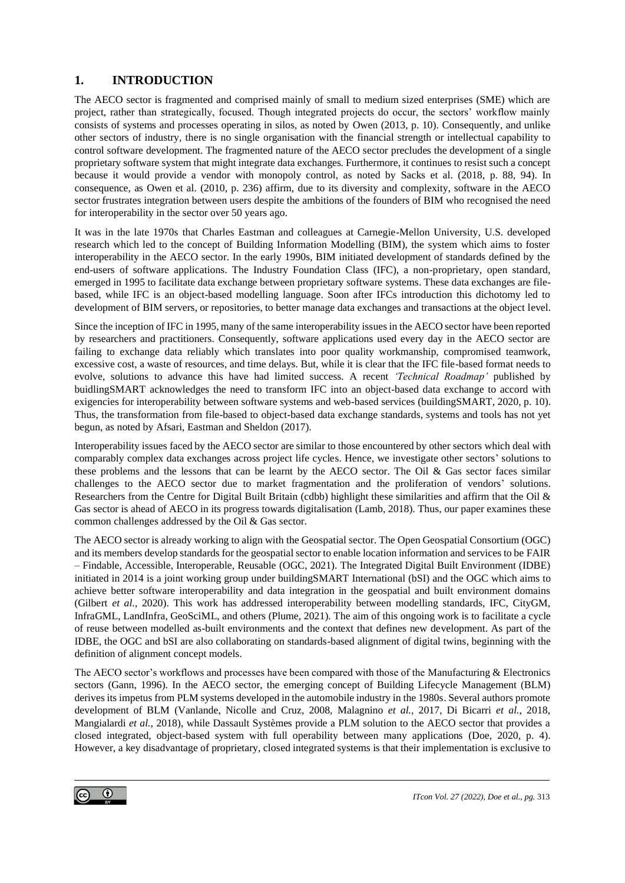# **1. INTRODUCTION**

The AECO sector is fragmented and comprised mainly of small to medium sized enterprises (SME) which are project, rather than strategically, focused. Though integrated projects do occur, the sectors' workflow mainly consists of systems and processes operating in silos, as noted by Owen (2013, p. 10). Consequently, and unlike other sectors of industry, there is no single organisation with the financial strength or intellectual capability to control software development. The fragmented nature of the AECO sector precludes the development of a single proprietary software system that might integrate data exchanges. Furthermore, it continues to resist such a concept because it would provide a vendor with monopoly control, as noted by Sacks et al. (2018, p. 88, 94). In consequence, as Owen et al. (2010, p. 236) affirm, due to its diversity and complexity, software in the AECO sector frustrates integration between users despite the ambitions of the founders of BIM who recognised the need for interoperability in the sector over 50 years ago.

It was in the late 1970s that Charles Eastman and colleagues at Carnegie-Mellon University, U.S. developed research which led to the concept of Building Information Modelling (BIM), the system which aims to foster interoperability in the AECO sector. In the early 1990s, BIM initiated development of standards defined by the end-users of software applications. The Industry Foundation Class (IFC), a non-proprietary, open standard, emerged in 1995 to facilitate data exchange between proprietary software systems. These data exchanges are filebased, while IFC is an object-based modelling language. Soon after IFCs introduction this dichotomy led to development of BIM servers, or repositories, to better manage data exchanges and transactions at the object level.

Since the inception of IFC in 1995, many of the same interoperability issues in the AECO sector have been reported by researchers and practitioners. Consequently, software applications used every day in the AECO sector are failing to exchange data reliably which translates into poor quality workmanship, compromised teamwork, excessive cost, a waste of resources, and time delays. But, while it is clear that the IFC file-based format needs to evolve, solutions to advance this have had limited success. A recent *'Technical Roadmap'* published by buidlingSMART acknowledges the need to transform IFC into an object-based data exchange to accord with exigencies for interoperability between software systems and web-based services (buildingSMART, 2020, p. 10). Thus, the transformation from file-based to object-based data exchange standards, systems and tools has not yet begun, as noted by Afsari, Eastman and Sheldon (2017).

Interoperability issues faced by the AECO sector are similar to those encountered by other sectors which deal with comparably complex data exchanges across project life cycles. Hence, we investigate other sectors' solutions to these problems and the lessons that can be learnt by the AECO sector. The Oil & Gas sector faces similar challenges to the AECO sector due to market fragmentation and the proliferation of vendors' solutions. Researchers from the Centre for Digital Built Britain (cdbb) highlight these similarities and affirm that the Oil & Gas sector is ahead of AECO in its progress towards digitalisation (Lamb, 2018). Thus, our paper examines these common challenges addressed by the Oil & Gas sector.

The AECO sector is already working to align with the Geospatial sector. The Open Geospatial Consortium (OGC) and its members develop standards for the geospatial sector to enable location information and services to be FAIR – Findable, Accessible, Interoperable, Reusable (OGC, 2021). The Integrated Digital Built Environment (IDBE) initiated in 2014 is a joint working group under buildingSMART International (bSI) and the OGC which aims to achieve better software interoperability and data integration in the geospatial and built environment domains (Gilbert *et al.*, 2020). This work has addressed interoperability between modelling standards, IFC, CityGM, InfraGML, LandInfra, GeoSciML, and others (Plume, 2021). The aim of this ongoing work is to facilitate a cycle of reuse between modelled as-built environments and the context that defines new development. As part of the IDBE, the OGC and bSI are also collaborating on standards-based alignment of digital twins, beginning with the definition of alignment concept models.

The AECO sector's workflows and processes have been compared with those of the Manufacturing & Electronics sectors (Gann, 1996). In the AECO sector, the emerging concept of Building Lifecycle Management (BLM) derives its impetus from PLM systems developed in the automobile industry in the 1980s. Several authors promote development of BLM (Vanlande, Nicolle and Cruz, 2008, Malagnino *et al.*, 2017, Di Bicarri *et al.*, 2018, Mangialardi *et al.*, 2018), while Dassault Systèmes provide a PLM solution to the AECO sector that provides a closed integrated, object-based system with full operability between many applications (Doe, 2020, p. 4). However, a key disadvantage of proprietary, closed integrated systems is that their implementation is exclusive to

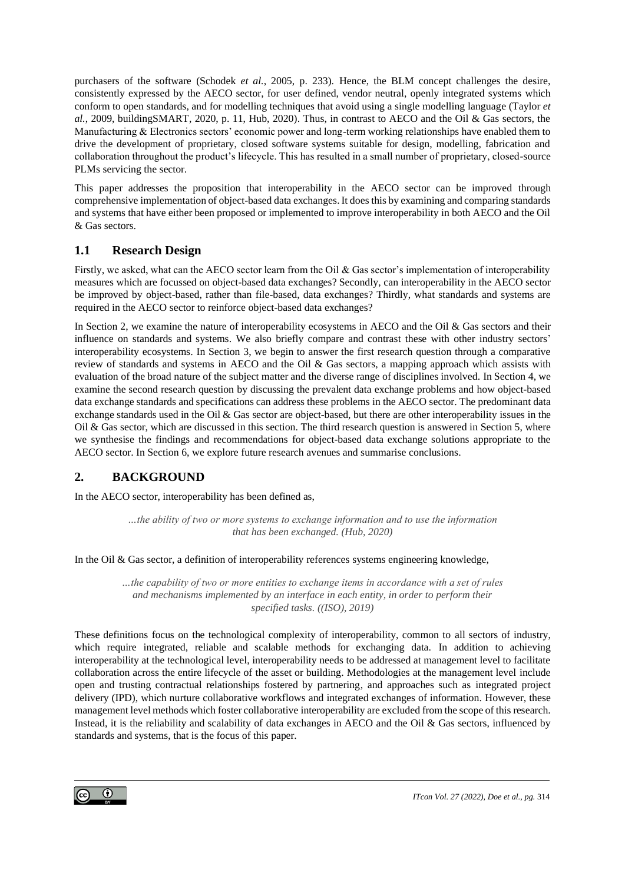purchasers of the software (Schodek *et al.*, 2005, p. 233). Hence, the BLM concept challenges the desire, consistently expressed by the AECO sector, for user defined, vendor neutral, openly integrated systems which conform to open standards, and for modelling techniques that avoid using a single modelling language (Taylor *et al.*, 2009, buildingSMART, 2020, p. 11, Hub, 2020). Thus, in contrast to AECO and the Oil & Gas sectors, the Manufacturing & Electronics sectors' economic power and long-term working relationships have enabled them to drive the development of proprietary, closed software systems suitable for design, modelling, fabrication and collaboration throughout the product's lifecycle. This has resulted in a small number of proprietary, closed-source PLMs servicing the sector.

This paper addresses the proposition that interoperability in the AECO sector can be improved through comprehensive implementation of object-based data exchanges.It does this by examining and comparing standards and systems that have either been proposed or implemented to improve interoperability in both AECO and the Oil & Gas sectors.

# **1.1 Research Design**

Firstly, we asked, what can the AECO sector learn from the Oil & Gas sector's implementation of interoperability measures which are focussed on object-based data exchanges? Secondly, can interoperability in the AECO sector be improved by object-based, rather than file-based, data exchanges? Thirdly, what standards and systems are required in the AECO sector to reinforce object-based data exchanges?

In Section 2, we examine the nature of interoperability ecosystems in AECO and the Oil & Gas sectors and their influence on standards and systems. We also briefly compare and contrast these with other industry sectors' interoperability ecosystems. In Section 3, we begin to answer the first research question through a comparative review of standards and systems in AECO and the Oil & Gas sectors, a mapping approach which assists with evaluation of the broad nature of the subject matter and the diverse range of disciplines involved. In Section 4, we examine the second research question by discussing the prevalent data exchange problems and how object-based data exchange standards and specifications can address these problems in the AECO sector. The predominant data exchange standards used in the Oil & Gas sector are object-based, but there are other interoperability issues in the Oil & Gas sector, which are discussed in this section. The third research question is answered in Section 5, where we synthesise the findings and recommendations for object-based data exchange solutions appropriate to the AECO sector. In Section 6, we explore future research avenues and summarise conclusions.

# **2. BACKGROUND**

In the AECO sector, interoperability has been defined as,

*…the ability of two or more systems to exchange information and to use the information that has been exchanged. (Hub, 2020)*

In the Oil & Gas sector, a definition of interoperability references systems engineering knowledge,

*…the capability of two or more entities to exchange items in accordance with a set of rules and mechanisms implemented by an interface in each entity, in order to perform their specified tasks. ((ISO), 2019)*

These definitions focus on the technological complexity of interoperability, common to all sectors of industry, which require integrated, reliable and scalable methods for exchanging data. In addition to achieving interoperability at the technological level, interoperability needs to be addressed at management level to facilitate collaboration across the entire lifecycle of the asset or building. Methodologies at the management level include open and trusting contractual relationships fostered by partnering, and approaches such as integrated project delivery (IPD), which nurture collaborative workflows and integrated exchanges of information. However, these management level methods which foster collaborative interoperability are excluded from the scope of this research. Instead, it is the reliability and scalability of data exchanges in AECO and the Oil & Gas sectors, influenced by standards and systems, that is the focus of this paper.

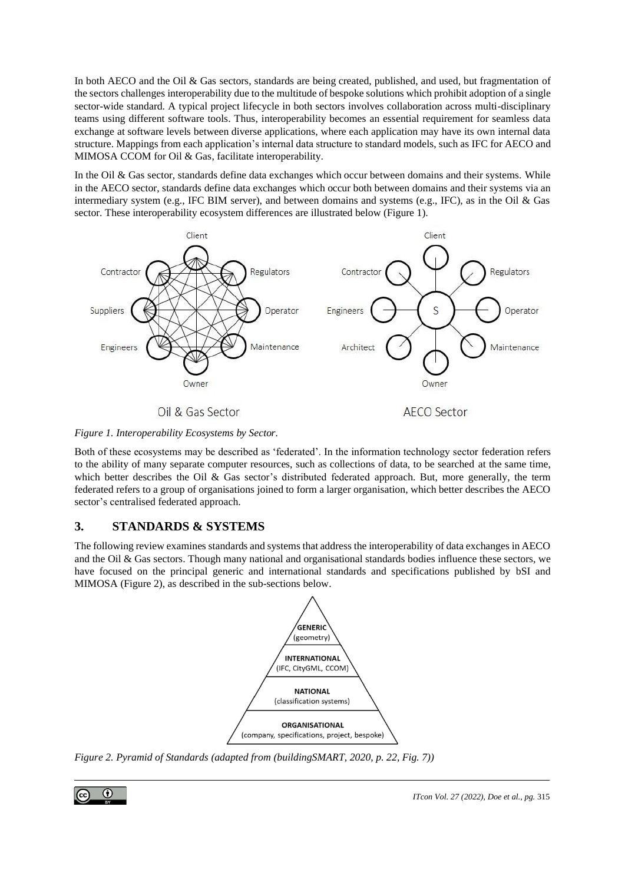In both AECO and the Oil & Gas sectors, standards are being created, published, and used, but fragmentation of the sectors challenges interoperability due to the multitude of bespoke solutions which prohibit adoption of a single sector-wide standard. A typical project lifecycle in both sectors involves collaboration across multi-disciplinary teams using different software tools. Thus, interoperability becomes an essential requirement for seamless data exchange at software levels between diverse applications, where each application may have its own internal data structure. Mappings from each application's internal data structure to standard models, such as IFC for AECO and MIMOSA CCOM for Oil & Gas, facilitate interoperability.

In the Oil & Gas sector, standards define data exchanges which occur between domains and their systems. While in the AECO sector, standards define data exchanges which occur both between domains and their systems via an intermediary system (e.g., IFC BIM server), and between domains and systems (e.g., IFC), as in the Oil & Gas sector. These interoperability ecosystem differences are illustrated below (Figure 1).



Oil & Gas Sector

*Figure 1. Interoperability Ecosystems by Sector.*

Both of these ecosystems may be described as 'federated'. In the information technology sector federation refers to the ability of many separate computer resources, such as collections of data, to be searched at the same time, which better describes the Oil & Gas sector's distributed federated approach. But, more generally, the term federated refers to a group of organisations joined to form a larger organisation, which better describes the AECO sector's centralised federated approach.

# **3. STANDARDS & SYSTEMS**

The following review examines standards and systems that address the interoperability of data exchanges in AECO and the Oil & Gas sectors. Though many national and organisational standards bodies influence these sectors, we have focused on the principal generic and international standards and specifications published by bSI and MIMOSA (Figure 2), as described in the sub-sections below.



*Figure 2. Pyramid of Standards (adapted from (buildingSMART, 2020, p. 22, Fig. 7))*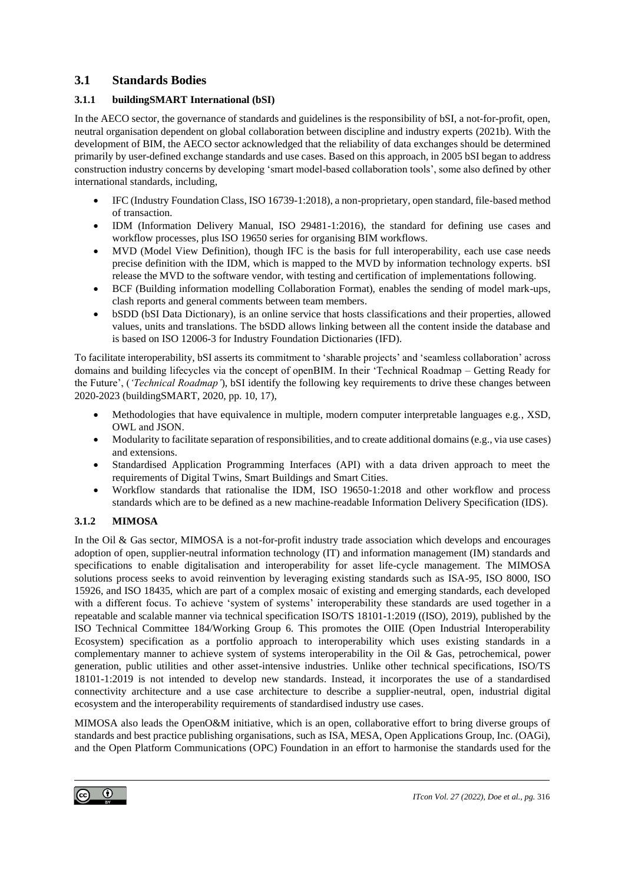# **3.1 Standards Bodies**

### **3.1.1 buildingSMART International (bSI)**

In the AECO sector, the governance of standards and guidelines is the responsibility of bSI, a not-for-profit, open, neutral organisation dependent on global collaboration between discipline and industry experts (2021b). With the development of BIM, the AECO sector acknowledged that the reliability of data exchanges should be determined primarily by user-defined exchange standards and use cases. Based on this approach, in 2005 bSI began to address construction industry concerns by developing 'smart model-based collaboration tools', some also defined by other international standards, including,

- IFC (Industry Foundation Class, ISO 16739-1:2018), a non-proprietary, open standard, file-based method of transaction.
- IDM (Information Delivery Manual, ISO 29481-1:2016), the standard for defining use cases and workflow processes, plus ISO 19650 series for organising BIM workflows.
- MVD (Model View Definition), though IFC is the basis for full interoperability, each use case needs precise definition with the IDM, which is mapped to the MVD by information technology experts. bSI release the MVD to the software vendor, with testing and certification of implementations following.
- BCF (Building information modelling Collaboration Format), enables the sending of model mark-ups, clash reports and general comments between team members.
- bSDD (bSI Data Dictionary), is an online service that hosts classifications and their properties, allowed values, units and translations. The bSDD allows linking between all the content inside the database and is based on ISO 12006-3 for Industry Foundation Dictionaries (IFD).

To facilitate interoperability, bSI asserts its commitment to 'sharable projects' and 'seamless collaboration' across domains and building lifecycles via the concept of openBIM. In their 'Technical Roadmap – Getting Ready for the Future', (*'Technical Roadmap'*), bSI identify the following key requirements to drive these changes between 2020-2023 (buildingSMART, 2020, pp. 10, 17),

- Methodologies that have equivalence in multiple, modern computer interpretable languages e.g., XSD, OWL and JSON.
- Modularity to facilitate separation of responsibilities, and to create additional domains (e.g., via use cases) and extensions.
- Standardised Application Programming Interfaces (API) with a data driven approach to meet the requirements of Digital Twins, Smart Buildings and Smart Cities.
- Workflow standards that rationalise the IDM, ISO 19650-1:2018 and other workflow and process standards which are to be defined as a new machine-readable Information Delivery Specification (IDS).

### **3.1.2 MIMOSA**

In the Oil & Gas sector, MIMOSA is a not-for-profit industry trade association which develops and encourages adoption of open, supplier-neutral information technology (IT) and information management (IM) standards and specifications to enable digitalisation and interoperability for asset life-cycle management. The MIMOSA solutions process seeks to avoid reinvention by leveraging existing standards such as ISA-95, ISO 8000, ISO 15926, and ISO 18435, which are part of a complex mosaic of existing and emerging standards, each developed with a different focus. To achieve 'system of systems' interoperability these standards are used together in a repeatable and scalable manner via technical specification ISO/TS 18101-1:2019 ((ISO), 2019), published by the ISO Technical Committee 184/Working Group 6. This promotes the OIIE (Open Industrial Interoperability Ecosystem) specification as a portfolio approach to interoperability which uses existing standards in a complementary manner to achieve system of systems interoperability in the Oil & Gas, petrochemical, power generation, public utilities and other asset-intensive industries. Unlike other technical specifications, ISO/TS 18101-1:2019 is not intended to develop new standards. Instead, it incorporates the use of a standardised connectivity architecture and a use case architecture to describe a supplier-neutral, open, industrial digital ecosystem and the interoperability requirements of standardised industry use cases.

MIMOSA also leads the OpenO&M initiative, which is an open, collaborative effort to bring diverse groups of standards and best practice publishing organisations, such as ISA, MESA, Open Applications Group, Inc. (OAGi), and the Open Platform Communications (OPC) Foundation in an effort to harmonise the standards used for the

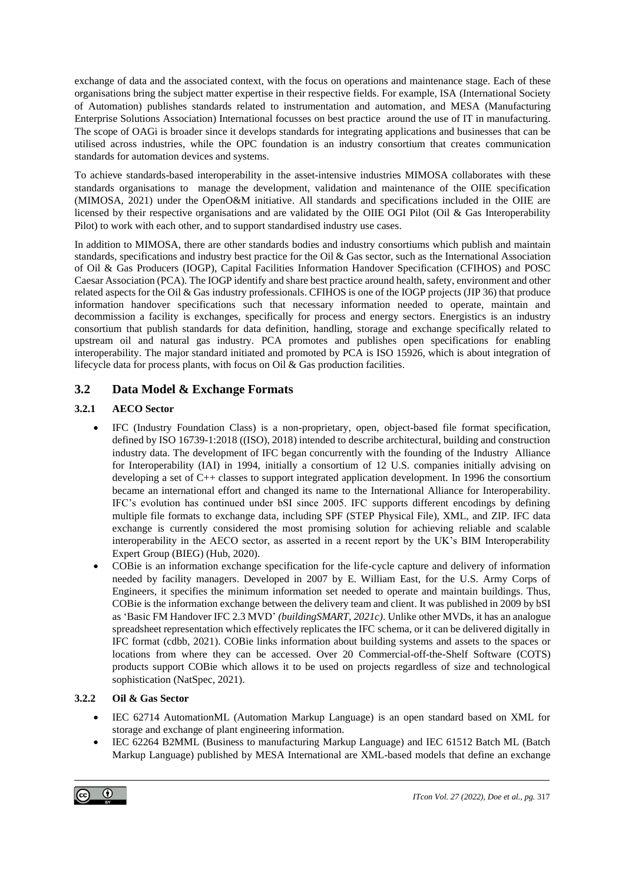exchange of data and the associated context, with the focus on operations and maintenance stage. Each of these organisations bring the subject matter expertise in their respective fields. For example, ISA (International Society of Automation) publishes standards related to instrumentation and automation, and MESA (Manufacturing Enterprise Solutions Association) International focusses on best practice around the use of IT in manufacturing. The scope of OAGi is broader since it develops standards for integrating applications and businesses that can be utilised across industries, while the OPC foundation is an industry consortium that creates communication standards for automation devices and systems.

To achieve standards-based interoperability in the asset-intensive industries MIMOSA collaborates with these standards organisations to manage the development, validation and maintenance of the OIIE specification (MIMOSA, 2021) under the OpenO&M initiative. All standards and specifications included in the OIIE are licensed by their respective organisations and are validated by the OIIE OGI Pilot (Oil & Gas Interoperability Pilot) to work with each other, and to support standardised industry use cases.

In addition to MIMOSA, there are other standards bodies and industry consortiums which publish and maintain standards, specifications and industry best practice for the Oil & Gas sector, such as the International Association of Oil & Gas Producers (IOGP), Capital Facilities Information Handover Specification (CFIHOS) and POSC Caesar Association (PCA). The IOGPidentify and share best practice around health, safety, environment and other related aspects for the Oil & Gas industry professionals. CFIHOS is one of the IOGP projects (JIP 36) that produce information handover specifications such that necessary information needed to operate, maintain and decommission a facility is exchanges, specifically for process and energy sectors. Energistics is an industry consortium that publish standards for data definition, handling, storage and exchange specifically related to upstream oil and natural gas industry. PCA promotes and publishes open specifications for enabling interoperability. The major standard initiated and promoted by PCA is ISO 15926, which is about integration of lifecycle data for process plants, with focus on Oil & Gas production facilities.

# <span id="page-5-0"></span>**3.2 Data Model & Exchange Formats**

### **3.2.1 AECO Sector**

- IFC (Industry Foundation Class) is a non-proprietary, open, object-based file format specification, defined by ISO 16739-1:2018 ((ISO), 2018) intended to describe architectural, building and construction industry data. The development of IFC began concurrently with the founding of the Industry Alliance for Interoperability (IAI) in 1994, initially a consortium of 12 U.S. companies initially advising on developing a set of C++ classes to support integrated application development. In 1996 the consortium became an international effort and changed its name to the International Alliance for Interoperability. IFC's evolution has continued under bSI since 2005. IFC supports different encodings by defining multiple file formats to exchange data, including SPF (STEP Physical File), XML, and ZIP. IFC data exchange is currently considered the most promising solution for achieving reliable and scalable interoperability in the AECO sector, as asserted in a recent report by the UK's BIM Interoperability Expert Group (BIEG) (Hub, 2020).
- COBie is an information exchange specification for the life-cycle capture and delivery of information needed by facility managers. Developed in 2007 by E. William East, for the U.S. Army Corps of Engineers, it specifies the minimum information set needed to operate and maintain buildings. Thus, COBie is the information exchange between the delivery team and client. It was published in 2009 by bSI as 'Basic FM Handover IFC 2.3 MVD' *(buildingSMART, 2021c)*. Unlike other MVDs, it has an analogue spreadsheet representation which effectively replicates the IFC schema, or it can be delivered digitally in IFC format (cdbb, 2021). COBie links information about building systems and assets to the spaces or locations from where they can be accessed. Over 20 Commercial-off-the-Shelf Software (COTS) products support COBie which allows it to be used on projects regardless of size and technological sophistication (NatSpec, 2021).

### **3.2.2 Oil & Gas Sector**

- IEC 62714 AutomationML (Automation Markup Language) is an open standard based on XML for storage and exchange of plant engineering information.
- IEC 62264 B2MML (Business to manufacturing Markup Language) and IEC 61512 Batch ML (Batch Markup Language) published by MESA International are XML-based models that define an exchange

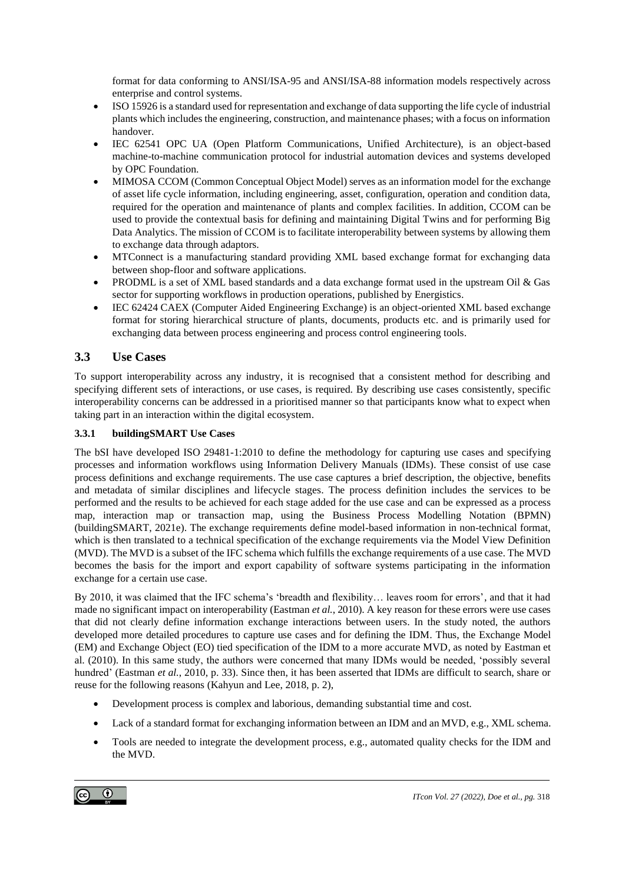format for data conforming to ANSI/ISA-95 and ANSI/ISA-88 information models respectively across enterprise and control systems.

- ISO 15926 is a standard used for representation and exchange of data supporting the life cycle of industrial plants which includes the engineering, construction, and maintenance phases; with a focus on information handover.
- IEC 62541 OPC UA (Open Platform Communications, Unified Architecture), is an object-based machine-to-machine communication protocol for industrial automation devices and systems developed by OPC Foundation.
- MIMOSA CCOM (Common Conceptual Object Model) serves as an information model for the exchange of asset life cycle information, including engineering, asset, configuration, operation and condition data, required for the operation and maintenance of plants and complex facilities. In addition, CCOM can be used to provide the contextual basis for defining and maintaining Digital Twins and for performing Big Data Analytics. The mission of CCOM is to facilitate interoperability between systems by allowing them to exchange data through adaptors.
- MTConnect is a manufacturing standard providing XML based exchange format for exchanging data between shop-floor and software applications.
- PRODML is a set of XML based standards and a data exchange format used in the upstream Oil & Gas sector for supporting workflows in production operations, published by Energistics.
- IEC 62424 CAEX (Computer Aided Engineering Exchange) is an object-oriented XML based exchange format for storing hierarchical structure of plants, documents, products etc. and is primarily used for exchanging data between process engineering and process control engineering tools.

# **3.3 Use Cases**

To support interoperability across any industry, it is recognised that a consistent method for describing and specifying different sets of interactions, or use cases, is required. By describing use cases consistently, specific interoperability concerns can be addressed in a prioritised manner so that participants know what to expect when taking part in an interaction within the digital ecosystem.

### **3.3.1 buildingSMART Use Cases**

The bSI have developed ISO 29481-1:2010 to define the methodology for capturing use cases and specifying processes and information workflows using Information Delivery Manuals (IDMs). These consist of use case process definitions and exchange requirements. The use case captures a brief description, the objective, benefits and metadata of similar disciplines and lifecycle stages. The process definition includes the services to be performed and the results to be achieved for each stage added for the use case and can be expressed as a process map, interaction map or transaction map, using the Business Process Modelling Notation (BPMN) (buildingSMART, 2021e). The exchange requirements define model-based information in non-technical format, which is then translated to a technical specification of the exchange requirements via the Model View Definition (MVD). The MVD is a subset of the IFC schema which fulfills the exchange requirements of a use case. The MVD becomes the basis for the import and export capability of software systems participating in the information exchange for a certain use case.

By 2010, it was claimed that the IFC schema's 'breadth and flexibility… leaves room for errors', and that it had made no significant impact on interoperability (Eastman *et al.*, 2010). A key reason for these errors were use cases that did not clearly define information exchange interactions between users. In the study noted, the authors developed more detailed procedures to capture use cases and for defining the IDM. Thus, the Exchange Model (EM) and Exchange Object (EO) tied specification of the IDM to a more accurate MVD, as noted by Eastman et al. (2010). In this same study, the authors were concerned that many IDMs would be needed, 'possibly several hundred' (Eastman *et al.*, 2010, p. 33). Since then, it has been asserted that IDMs are difficult to search, share or reuse for the following reasons (Kahyun and Lee, 2018, p. 2),

- Development process is complex and laborious, demanding substantial time and cost.
- Lack of a standard format for exchanging information between an IDM and an MVD, e.g., XML schema.
- Tools are needed to integrate the development process, e.g., automated quality checks for the IDM and the MVD.

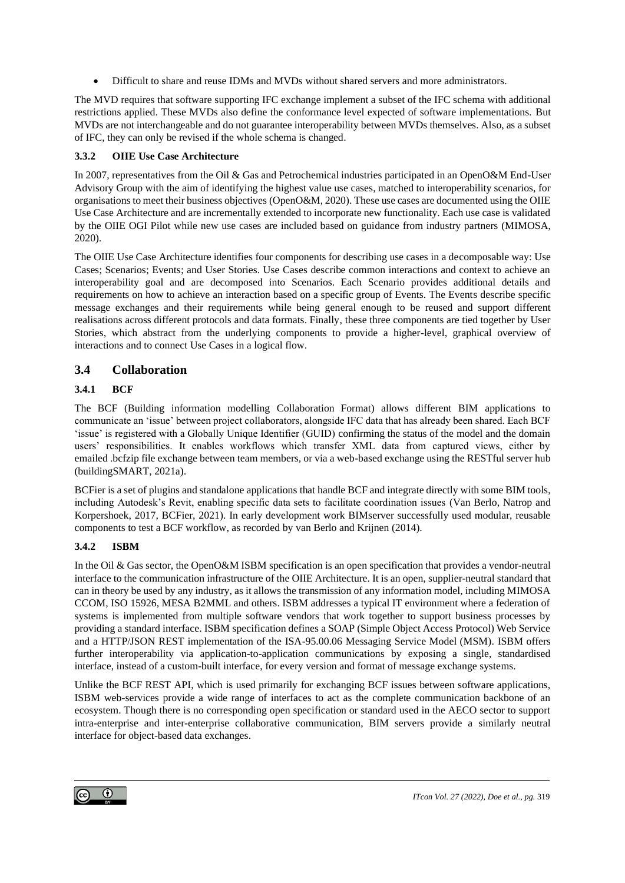• Difficult to share and reuse IDMs and MVDs without shared servers and more administrators.

The MVD requires that software supporting IFC exchange implement a subset of the IFC schema with additional restrictions applied. These MVDs also define the conformance level expected of software implementations. But MVDs are not interchangeable and do not guarantee interoperability between MVDs themselves. Also, as a subset of IFC, they can only be revised if the whole schema is changed.

### **3.3.2 OIIE Use Case Architecture**

In 2007, representatives from the Oil & Gas and Petrochemical industries participated in an OpenO&M End-User Advisory Group with the aim of identifying the highest value use cases, matched to interoperability scenarios, for organisations to meet their business objectives (OpenO&M, 2020). These use cases are documented using the OIIE Use Case Architecture and are incrementally extended to incorporate new functionality. Each use case is validated by the OIIE OGI Pilot while new use cases are included based on guidance from industry partners (MIMOSA, 2020).

The OIIE Use Case Architecture identifies four components for describing use cases in a decomposable way: Use Cases; Scenarios; Events; and User Stories. Use Cases describe common interactions and context to achieve an interoperability goal and are decomposed into Scenarios. Each Scenario provides additional details and requirements on how to achieve an interaction based on a specific group of Events. The Events describe specific message exchanges and their requirements while being general enough to be reused and support different realisations across different protocols and data formats. Finally, these three components are tied together by User Stories, which abstract from the underlying components to provide a higher-level, graphical overview of interactions and to connect Use Cases in a logical flow.

# **3.4 Collaboration**

### **3.4.1 BCF**

The BCF (Building information modelling Collaboration Format) allows different BIM applications to communicate an 'issue' between project collaborators, alongside IFC data that has already been shared. Each BCF 'issue' is registered with a Globally Unique Identifier (GUID) confirming the status of the model and the domain users' responsibilities. It enables workflows which transfer XML data from captured views, either by emailed .bcfzip file exchange between team members, or via a web-based exchange using the RESTful server hub (buildingSMART, 2021a).

BCFier is a set of plugins and standalone applications that handle BCF and integrate directly with some BIM tools, including Autodesk's Revit, enabling specific data sets to facilitate coordination issues (Van Berlo, Natrop and Korpershoek, 2017, BCFier, 2021). In early development work BIMserver successfully used modular, reusable components to test a BCF workflow, as recorded by van Berlo and Krijnen (2014).

### **3.4.2 ISBM**

In the Oil & Gas sector, the OpenO&M ISBM specification is an open specification that provides a vendor-neutral interface to the communication infrastructure of the OIIE Architecture. It is an open, supplier-neutral standard that can in theory be used by any industry, as it allows the transmission of any information model, including MIMOSA CCOM, ISO 15926, MESA B2MML and others. ISBM addresses a typical IT environment where a federation of systems is implemented from multiple software vendors that work together to support business processes by providing a standard interface. ISBM specification defines a SOAP (Simple Object Access Protocol) Web Service and a HTTP/JSON REST implementation of the ISA-95.00.06 Messaging Service Model (MSM). ISBM offers further interoperability via application-to-application communications by exposing a single, standardised interface, instead of a custom-built interface, for every version and format of message exchange systems.

Unlike the BCF REST API, which is used primarily for exchanging BCF issues between software applications, ISBM web-services provide a wide range of interfaces to act as the complete communication backbone of an ecosystem. Though there is no corresponding open specification or standard used in the AECO sector to support intra-enterprise and inter-enterprise collaborative communication, BIM servers provide a similarly neutral interface for object-based data exchanges.

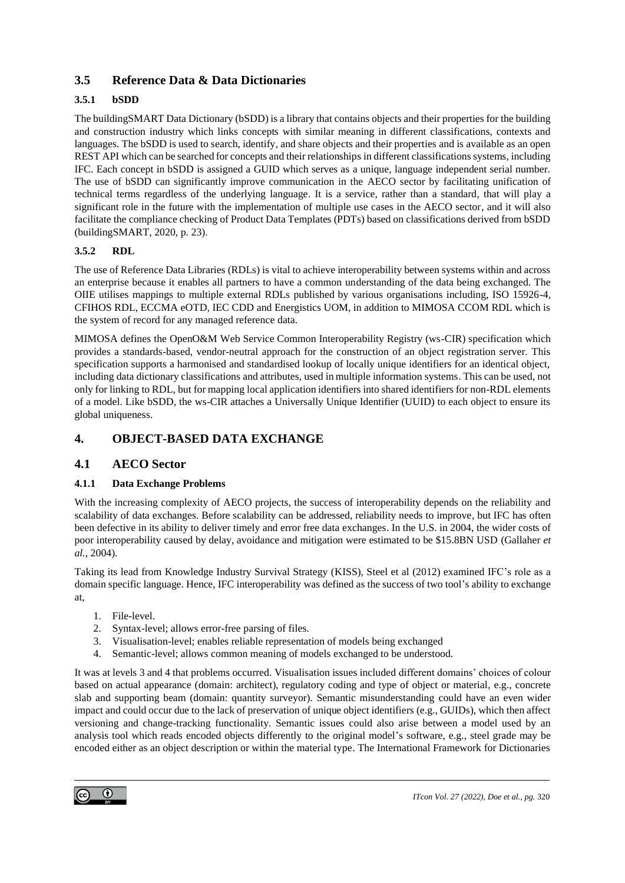# **3.5 Reference Data & Data Dictionaries**

### **3.5.1 bSDD**

The buildingSMART Data Dictionary (bSDD) is a library that contains objects and their properties for the building and construction industry which links concepts with similar meaning in different classifications, contexts and languages. The bSDD is used to search, identify, and share objects and their properties and is available as an open REST API which can be searched for concepts and their relationships in different classifications systems, including IFC. Each concept in bSDD is assigned a GUID which serves as a unique, language independent serial number. The use of bSDD can significantly improve communication in the AECO sector by facilitating unification of technical terms regardless of the underlying language. It is a service, rather than a standard, that will play a significant role in the future with the implementation of multiple use cases in the AECO sector, and it will also facilitate the compliance checking of Product Data Templates (PDTs) based on classifications derived from bSDD (buildingSMART, 2020, p. 23).

### **3.5.2 RDL**

The use of Reference Data Libraries (RDLs) is vital to achieve interoperability between systems within and across an enterprise because it enables all partners to have a common understanding of the data being exchanged. The OIIE utilises mappings to multiple external RDLs published by various organisations including, ISO 15926-4, CFIHOS RDL, ECCMA eOTD, IEC CDD and Energistics UOM, in addition to MIMOSA CCOM RDL which is the system of record for any managed reference data.

MIMOSA defines the OpenO&M Web Service Common Interoperability Registry (ws-CIR) specification which provides a standards-based, vendor-neutral approach for the construction of an object registration server. This specification supports a harmonised and standardised lookup of locally unique identifiers for an identical object, including data dictionary classifications and attributes, used in multiple information systems. This can be used, not only for linking to RDL, but for mapping local application identifiers into shared identifiers for non-RDL elements of a model. Like bSDD, the ws-CIR attaches a Universally Unique Identifier (UUID) to each object to ensure its global uniqueness.

# **4. OBJECT-BASED DATA EXCHANGE**

### **4.1 AECO Sector**

### <span id="page-8-0"></span>**4.1.1 Data Exchange Problems**

With the increasing complexity of AECO projects, the success of interoperability depends on the reliability and scalability of data exchanges. Before scalability can be addressed, reliability needs to improve, but IFC has often been defective in its ability to deliver timely and error free data exchanges. In the U.S. in 2004, the wider costs of poor interoperability caused by delay, avoidance and mitigation were estimated to be \$15.8BN USD (Gallaher *et al.*, 2004).

Taking its lead from Knowledge Industry Survival Strategy (KISS), Steel et al (2012) examined IFC's role as a domain specific language. Hence, IFC interoperability was defined as the success of two tool's ability to exchange at,

- 1. File-level.
- 2. Syntax-level; allows error-free parsing of files.
- 3. Visualisation-level; enables reliable representation of models being exchanged
- 4. Semantic-level; allows common meaning of models exchanged to be understood.

It was at levels 3 and 4 that problems occurred. Visualisation issues included different domains' choices of colour based on actual appearance (domain: architect), regulatory coding and type of object or material, e.g., concrete slab and supporting beam (domain: quantity surveyor). Semantic misunderstanding could have an even wider impact and could occur due to the lack of preservation of unique object identifiers (e.g., GUIDs), which then affect versioning and change-tracking functionality. Semantic issues could also arise between a model used by an analysis tool which reads encoded objects differently to the original model's software, e.g., steel grade may be encoded either as an object description or within the material type. The International Framework for Dictionaries

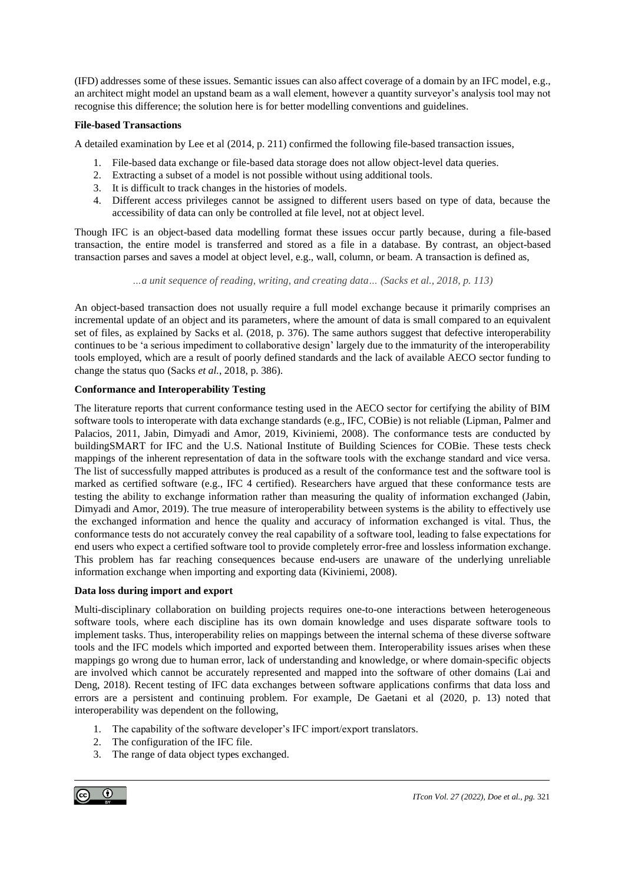(IFD) addresses some of these issues. Semantic issues can also affect coverage of a domain by an IFC model, e.g., an architect might model an upstand beam as a wall element, however a quantity surveyor's analysis tool may not recognise this difference; the solution here is for better modelling conventions and guidelines.

#### **File-based Transactions**

A detailed examination by Lee et al (2014, p. 211) confirmed the following file-based transaction issues,

- 1. File-based data exchange or file-based data storage does not allow object-level data queries.
- 2. Extracting a subset of a model is not possible without using additional tools.
- 3. It is difficult to track changes in the histories of models.
- 4. Different access privileges cannot be assigned to different users based on type of data, because the accessibility of data can only be controlled at file level, not at object level.

Though IFC is an object-based data modelling format these issues occur partly because, during a file-based transaction, the entire model is transferred and stored as a file in a database. By contrast, an object-based transaction parses and saves a model at object level, e.g., wall, column, or beam. A transaction is defined as,

*…a unit sequence of reading, writing, and creating data… (Sacks et al., 2018, p. 113)*

An object-based transaction does not usually require a full model exchange because it primarily comprises an incremental update of an object and its parameters, where the amount of data is small compared to an equivalent set of files, as explained by Sacks et al. (2018, p. 376). The same authors suggest that defective interoperability continues to be 'a serious impediment to collaborative design' largely due to the immaturity of the interoperability tools employed, which are a result of poorly defined standards and the lack of available AECO sector funding to change the status quo (Sacks *et al.*, 2018, p. 386).

#### **Conformance and Interoperability Testing**

The literature reports that current conformance testing used in the AECO sector for certifying the ability of BIM software tools to interoperate with data exchange standards (e.g., IFC, COBie) is not reliable (Lipman, Palmer and Palacios, 2011, Jabin, Dimyadi and Amor, 2019, Kiviniemi, 2008). The conformance tests are conducted by buildingSMART for IFC and the U.S. National Institute of Building Sciences for COBie. These tests check mappings of the inherent representation of data in the software tools with the exchange standard and vice versa. The list of successfully mapped attributes is produced as a result of the conformance test and the software tool is marked as certified software (e.g., IFC 4 certified). Researchers have argued that these conformance tests are testing the ability to exchange information rather than measuring the quality of information exchanged (Jabin, Dimyadi and Amor, 2019). The true measure of interoperability between systems is the ability to effectively use the exchanged information and hence the quality and accuracy of information exchanged is vital. Thus, the conformance tests do not accurately convey the real capability of a software tool, leading to false expectations for end users who expect a certified software tool to provide completely error-free and lossless information exchange. This problem has far reaching consequences because end-users are unaware of the underlying unreliable information exchange when importing and exporting data (Kiviniemi, 2008).

#### **Data loss during import and export**

Multi-disciplinary collaboration on building projects requires one-to-one interactions between heterogeneous software tools, where each discipline has its own domain knowledge and uses disparate software tools to implement tasks. Thus, interoperability relies on mappings between the internal schema of these diverse software tools and the IFC models which imported and exported between them. Interoperability issues arises when these mappings go wrong due to human error, lack of understanding and knowledge, or where domain-specific objects are involved which cannot be accurately represented and mapped into the software of other domains (Lai and Deng, 2018). Recent testing of IFC data exchanges between software applications confirms that data loss and errors are a persistent and continuing problem. For example, De Gaetani et al (2020, p. 13) noted that interoperability was dependent on the following,

- 1. The capability of the software developer's IFC import/export translators.
- 2. The configuration of the IFC file.
- 3. The range of data object types exchanged.

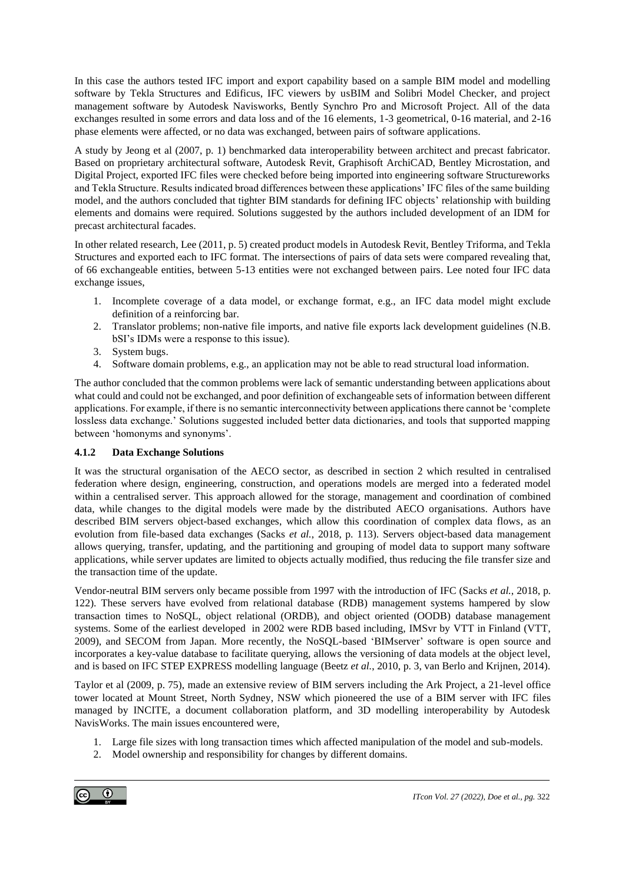In this case the authors tested IFC import and export capability based on a sample BIM model and modelling software by Tekla Structures and Edificus, IFC viewers by usBIM and Solibri Model Checker, and project management software by Autodesk Navisworks, Bently Synchro Pro and Microsoft Project. All of the data exchanges resulted in some errors and data loss and of the 16 elements, 1-3 geometrical, 0-16 material, and 2-16 phase elements were affected, or no data was exchanged, between pairs of software applications.

A study by Jeong et al (2007, p. 1) benchmarked data interoperability between architect and precast fabricator. Based on proprietary architectural software, Autodesk Revit, Graphisoft ArchiCAD, Bentley Microstation, and Digital Project, exported IFC files were checked before being imported into engineering software Structureworks and Tekla Structure. Results indicated broad differences between these applications' IFC files of the same building model, and the authors concluded that tighter BIM standards for defining IFC objects' relationship with building elements and domains were required. Solutions suggested by the authors included development of an IDM for precast architectural facades.

In other related research, Lee (2011, p. 5) created product models in Autodesk Revit, Bentley Triforma, and Tekla Structures and exported each to IFC format. The intersections of pairs of data sets were compared revealing that, of 66 exchangeable entities, between 5-13 entities were not exchanged between pairs. Lee noted four IFC data exchange issues,

- 1. Incomplete coverage of a data model, or exchange format, e.g., an IFC data model might exclude definition of a reinforcing bar.
- 2. Translator problems; non-native file imports, and native file exports lack development guidelines (N.B. bSI's IDMs were a response to this issue).
- 3. System bugs.
- 4. Software domain problems, e.g., an application may not be able to read structural load information.

The author concluded that the common problems were lack of semantic understanding between applications about what could and could not be exchanged, and poor definition of exchangeable sets of information between different applications. For example, if there is no semantic interconnectivity between applications there cannot be 'complete lossless data exchange.' Solutions suggested included better data dictionaries, and tools that supported mapping between 'homonyms and synonyms'.

#### **4.1.2 Data Exchange Solutions**

It was the structural organisation of the AECO sector, as described in section 2 which resulted in centralised federation where design, engineering, construction, and operations models are merged into a federated model within a centralised server. This approach allowed for the storage, management and coordination of combined data, while changes to the digital models were made by the distributed AECO organisations. Authors have described BIM servers object-based exchanges, which allow this coordination of complex data flows, as an evolution from file-based data exchanges (Sacks *et al.*, 2018, p. 113). Servers object-based data management allows querying, transfer, updating, and the partitioning and grouping of model data to support many software applications, while server updates are limited to objects actually modified, thus reducing the file transfer size and the transaction time of the update.

Vendor-neutral BIM servers only became possible from 1997 with the introduction of IFC (Sacks *et al.*, 2018, p. 122). These servers have evolved from relational database (RDB) management systems hampered by slow transaction times to NoSQL, object relational (ORDB), and object oriented (OODB) database management systems. Some of the earliest developed in 2002 were RDB based including, IMSvr by VTT in Finland (VTT, 2009), and SECOM from Japan. More recently, the NoSQL-based 'BIMserver' software is open source and incorporates a key-value database to facilitate querying, allows the versioning of data models at the object level, and is based on IFC STEP EXPRESS modelling language (Beetz *et al.*, 2010, p. 3, van Berlo and Krijnen, 2014).

Taylor et al (2009, p. 75), made an extensive review of BIM servers including the Ark Project, a 21-level office tower located at Mount Street, North Sydney, NSW which pioneered the use of a BIM server with IFC files managed by INCITE, a document collaboration platform, and 3D modelling interoperability by Autodesk NavisWorks. The main issues encountered were,

- 1. Large file sizes with long transaction times which affected manipulation of the model and sub-models.
- 2. Model ownership and responsibility for changes by different domains.

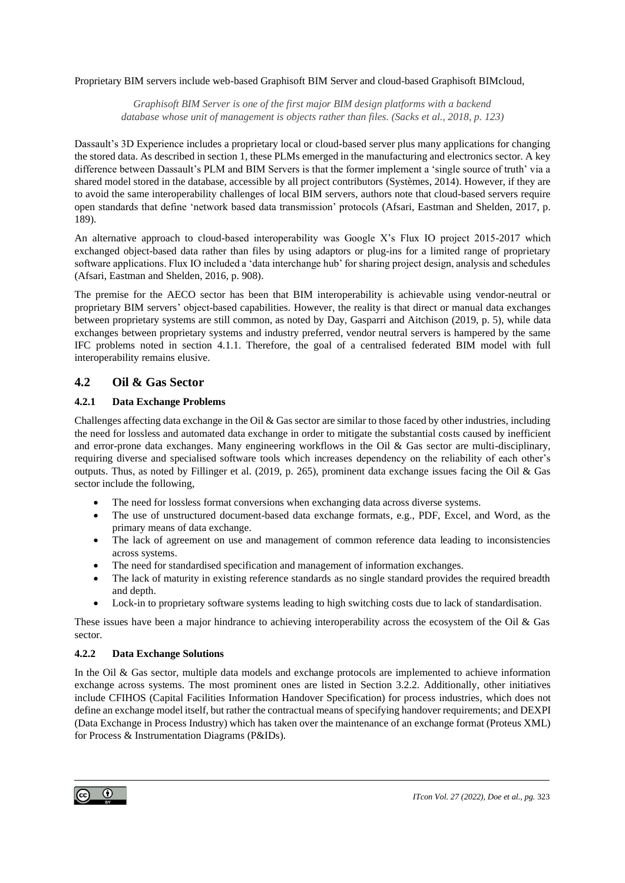#### Proprietary BIM servers include web-based Graphisoft BIM Server and cloud-based Graphisoft BIMcloud,

*Graphisoft BIM Server is one of the first major BIM design platforms with a backend database whose unit of management is objects rather than files. (Sacks et al., 2018, p. 123)*

Dassault's 3D Experience includes a proprietary local or cloud-based server plus many applications for changing the stored data. As described in section 1, these PLMs emerged in the manufacturing and electronics sector. A key difference between Dassault's PLM and BIM Servers is that the former implement a 'single source of truth' via a shared model stored in the database, accessible by all project contributors (Systèmes, 2014). However, if they are to avoid the same interoperability challenges of local BIM servers, authors note that cloud-based servers require open standards that define 'network based data transmission' protocols (Afsari, Eastman and Shelden, 2017, p. 189).

An alternative approach to cloud-based interoperability was Google X's Flux IO project 2015-2017 which exchanged object-based data rather than files by using adaptors or plug-ins for a limited range of proprietary software applications. Flux IO included a 'data interchange hub' for sharing project design, analysis and schedules (Afsari, Eastman and Shelden, 2016, p. 908).

The premise for the AECO sector has been that BIM interoperability is achievable using vendor-neutral or proprietary BIM servers' object-based capabilities. However, the reality is that direct or manual data exchanges between proprietary systems are still common, as noted by Day, Gasparri and Aitchison (2019, p. 5), while data exchanges between proprietary systems and industry preferred, vendor neutral servers is hampered by the same IFC problems noted in section 4.1.1. Therefore, the goal of a centralised federated BIM model with full interoperability remains elusive.

# **4.2 Oil & Gas Sector**

### **4.2.1 Data Exchange Problems**

Challenges affecting data exchange in the Oil  $\&$  Gas sector are similar to those faced by other industries, including the need for lossless and automated data exchange in order to mitigate the substantial costs caused by inefficient and error-prone data exchanges. Many engineering workflows in the Oil & Gas sector are multi-disciplinary, requiring diverse and specialised software tools which increases dependency on the reliability of each other's outputs. Thus, as noted by Fillinger et al. (2019, p. 265), prominent data exchange issues facing the Oil & Gas sector include the following,

- The need for lossless format conversions when exchanging data across diverse systems.
- The use of unstructured document-based data exchange formats, e.g., PDF, Excel, and Word, as the primary means of data exchange.
- The lack of agreement on use and management of common reference data leading to inconsistencies across systems.
- The need for standardised specification and management of information exchanges.
- The lack of maturity in existing reference standards as no single standard provides the required breadth and depth.
- Lock-in to proprietary software systems leading to high switching costs due to lack of standardisation.

These issues have been a major hindrance to achieving interoperability across the ecosystem of the Oil & Gas sector.

### **4.2.2 Data Exchange Solutions**

In the Oil & Gas sector, multiple data models and exchange protocols are implemented to achieve information exchange across systems. The most prominent ones are listed in Section [3.2.](#page-5-0)2. Additionally, other initiatives include CFIHOS (Capital Facilities Information Handover Specification) for process industries, which does not define an exchange model itself, but rather the contractual means of specifying handover requirements; and DEXPI (Data Exchange in Process Industry) which has taken over the maintenance of an exchange format (Proteus XML) for Process & Instrumentation Diagrams (P&IDs).

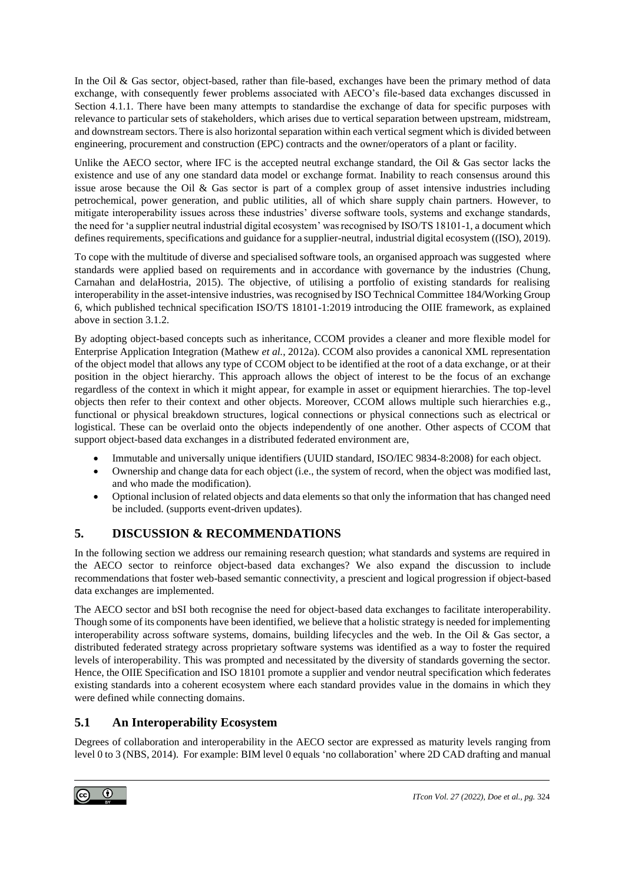In the Oil & Gas sector, object-based, rather than file-based, exchanges have been the primary method of data exchange, with consequently fewer problems associated with AECO's file-based data exchanges discussed in Section [4.1.1.](#page-8-0) There have been many attempts to standardise the exchange of data for specific purposes with relevance to particular sets of stakeholders, which arises due to vertical separation between upstream, midstream, and downstream sectors. There is also horizontal separation within each vertical segment which is divided between engineering, procurement and construction (EPC) contracts and the owner/operators of a plant or facility.

Unlike the AECO sector, where IFC is the accepted neutral exchange standard, the Oil  $\&$  Gas sector lacks the existence and use of any one standard data model or exchange format. Inability to reach consensus around this issue arose because the Oil & Gas sector is part of a complex group of asset intensive industries including petrochemical, power generation, and public utilities, all of which share supply chain partners. However, to mitigate interoperability issues across these industries' diverse software tools, systems and exchange standards, the need for 'a supplier neutral industrial digital ecosystem' was recognised by ISO/TS 18101-1, a document which defines requirements, specifications and guidance for a supplier-neutral, industrial digital ecosystem ((ISO), 2019).

To cope with the multitude of diverse and specialised software tools, an organised approach was suggested where standards were applied based on requirements and in accordance with governance by the industries (Chung, Carnahan and delaHostria, 2015). The objective, of utilising a portfolio of existing standards for realising interoperability in the asset-intensive industries, was recognised by ISO Technical Committee 184/Working Group 6, which published technical specification ISO/TS 18101-1:2019 introducing the OIIE framework, as explained above in section 3.1.2.

By adopting object-based concepts such as inheritance, CCOM provides a cleaner and more flexible model for Enterprise Application Integration (Mathew *et al.*, 2012a). CCOM also provides a canonical XML representation of the object model that allows any type of CCOM object to be identified at the root of a data exchange, or at their position in the object hierarchy. This approach allows the object of interest to be the focus of an exchange regardless of the context in which it might appear, for example in asset or equipment hierarchies. The top-level objects then refer to their context and other objects. Moreover, CCOM allows multiple such hierarchies e.g., functional or physical breakdown structures, logical connections or physical connections such as electrical or logistical. These can be overlaid onto the objects independently of one another. Other aspects of CCOM that support object-based data exchanges in a distributed federated environment are,

- Immutable and universally unique identifiers (UUID standard, ISO/IEC 9834-8:2008) for each object.
- Ownership and change data for each object (i.e., the system of record, when the object was modified last, and who made the modification).
- Optional inclusion of related objects and data elements so that only the information that has changed need be included. (supports event-driven updates).

# **5. DISCUSSION & RECOMMENDATIONS**

In the following section we address our remaining research question; what standards and systems are required in the AECO sector to reinforce object-based data exchanges? We also expand the discussion to include recommendations that foster web-based semantic connectivity, a prescient and logical progression if object-based data exchanges are implemented.

The AECO sector and bSI both recognise the need for object-based data exchanges to facilitate interoperability. Though some of its components have been identified, we believe that a holistic strategy is needed for implementing interoperability across software systems, domains, building lifecycles and the web. In the Oil & Gas sector, a distributed federated strategy across proprietary software systems was identified as a way to foster the required levels of interoperability. This was prompted and necessitated by the diversity of standards governing the sector. Hence, the OIIE Specification and ISO 18101 promote a supplier and vendor neutral specification which federates existing standards into a coherent ecosystem where each standard provides value in the domains in which they were defined while connecting domains.

# **5.1 An Interoperability Ecosystem**

Degrees of collaboration and interoperability in the AECO sector are expressed as maturity levels ranging from level 0 to 3 (NBS, 2014). For example: BIM level 0 equals 'no collaboration' where 2D CAD drafting and manual

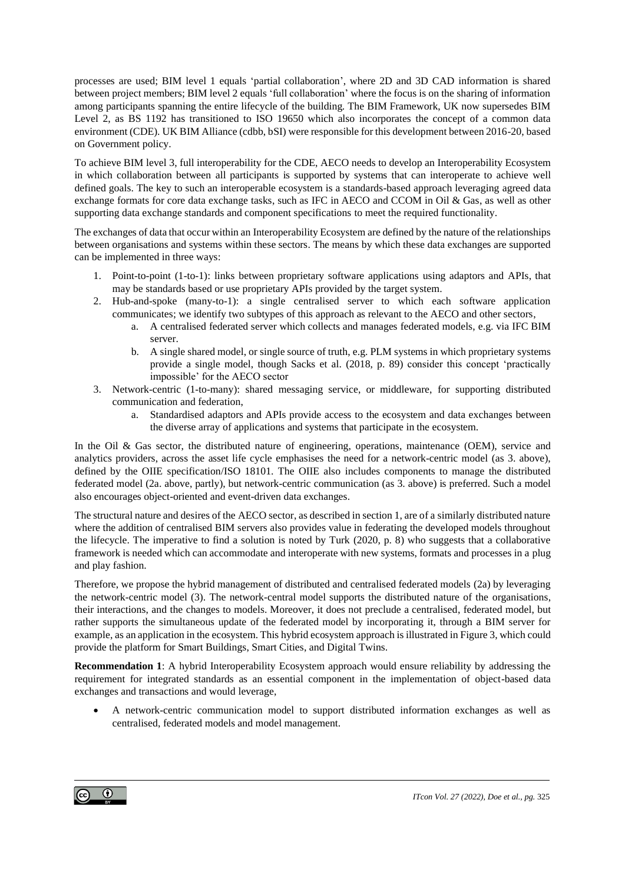processes are used; BIM level 1 equals 'partial collaboration', where 2D and 3D CAD information is shared between project members; BIM level 2 equals 'full collaboration' where the focus is on the sharing of information among participants spanning the entire lifecycle of the building. The BIM Framework, UK now supersedes BIM Level 2, as BS 1192 has transitioned to ISO 19650 which also incorporates the concept of a common data environment (CDE). UK BIM Alliance (cdbb, bSI) were responsible for this development between 2016-20, based on Government policy.

To achieve BIM level 3, full interoperability for the CDE, AECO needs to develop an Interoperability Ecosystem in which collaboration between all participants is supported by systems that can interoperate to achieve well defined goals. The key to such an interoperable ecosystem is a standards-based approach leveraging agreed data exchange formats for core data exchange tasks, such as IFC in AECO and CCOM in Oil & Gas, as well as other supporting data exchange standards and component specifications to meet the required functionality.

The exchanges of data that occur within an Interoperability Ecosystem are defined by the nature of the relationships between organisations and systems within these sectors. The means by which these data exchanges are supported can be implemented in three ways:

- 1. Point-to-point (1-to-1): links between proprietary software applications using adaptors and APIs, that may be standards based or use proprietary APIs provided by the target system.
- 2. Hub-and-spoke (many-to-1): a single centralised server to which each software application communicates; we identify two subtypes of this approach as relevant to the AECO and other sectors,
	- a. A centralised federated server which collects and manages federated models, e.g. via IFC BIM server.
	- b. A single shared model, or single source of truth, e.g. PLM systems in which proprietary systems provide a single model, though Sacks et al. (2018, p. 89) consider this concept 'practically impossible' for the AECO sector
- 3. Network-centric (1-to-many): shared messaging service, or middleware, for supporting distributed communication and federation,
	- a. Standardised adaptors and APIs provide access to the ecosystem and data exchanges between the diverse array of applications and systems that participate in the ecosystem.

In the Oil & Gas sector, the distributed nature of engineering, operations, maintenance (OEM), service and analytics providers, across the asset life cycle emphasises the need for a network-centric model (as 3. above), defined by the OIIE specification/ISO 18101. The OIIE also includes components to manage the distributed federated model (2a. above, partly), but network-centric communication (as 3. above) is preferred. Such a model also encourages object-oriented and event-driven data exchanges.

The structural nature and desires of the AECO sector, as described in section 1, are of a similarly distributed nature where the addition of centralised BIM servers also provides value in federating the developed models throughout the lifecycle. The imperative to find a solution is noted by Turk (2020, p. 8) who suggests that a collaborative framework is needed which can accommodate and interoperate with new systems, formats and processes in a plug and play fashion.

Therefore, we propose the hybrid management of distributed and centralised federated models (2a) by leveraging the network-centric model (3). The network-central model supports the distributed nature of the organisations, their interactions, and the changes to models. Moreover, it does not preclude a centralised, federated model, but rather supports the simultaneous update of the federated model by incorporating it, through a BIM server for example, as an application in the ecosystem. This hybrid ecosystem approach is illustrated in Figure 3, which could provide the platform for Smart Buildings, Smart Cities, and Digital Twins.

**Recommendation 1**: A hybrid Interoperability Ecosystem approach would ensure reliability by addressing the requirement for integrated standards as an essential component in the implementation of object-based data exchanges and transactions and would leverage,

• A network-centric communication model to support distributed information exchanges as well as centralised, federated models and model management.

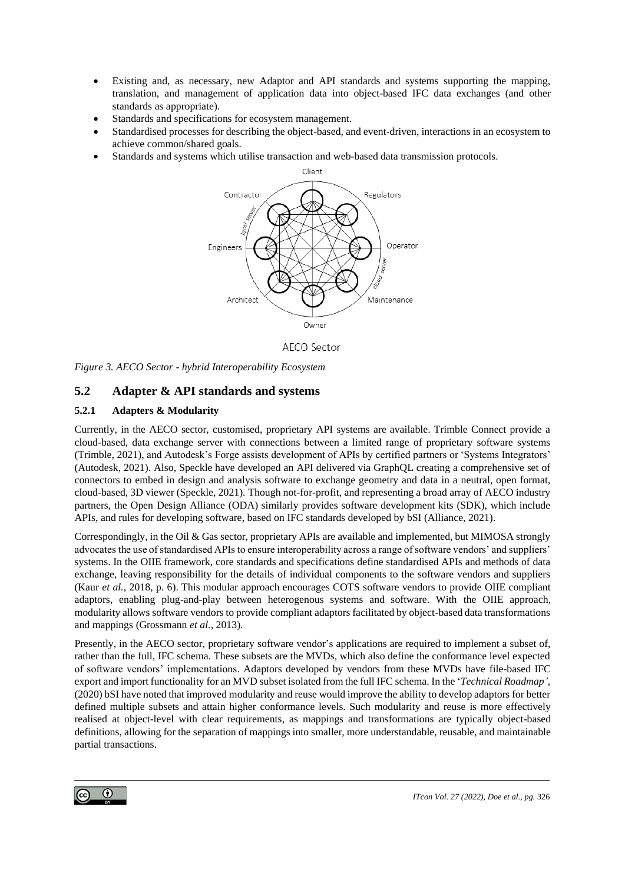- Existing and, as necessary, new Adaptor and API standards and systems supporting the mapping, translation, and management of application data into object-based IFC data exchanges (and other standards as appropriate).
- Standards and specifications for ecosystem management.
- Standardised processes for describing the object-based, and event-driven, interactions in an ecosystem to achieve common/shared goals.
- Standards and systems which utilise transaction and web-based data transmission protocols.



AECO Sector

*Figure 3. AECO Sector - hybrid Interoperability Ecosystem*

# **5.2 Adapter & API standards and systems**

### **5.2.1 Adapters & Modularity**

Currently, in the AECO sector, customised, proprietary API systems are available. Trimble Connect provide a cloud-based, data exchange server with connections between a limited range of proprietary software systems (Trimble, 2021), and Autodesk's Forge assists development of APIs by certified partners or 'Systems Integrators' (Autodesk, 2021). Also, Speckle have developed an API delivered via GraphQL creating a comprehensive set of connectors to embed in design and analysis software to exchange geometry and data in a neutral, open format, cloud-based, 3D viewer (Speckle, 2021). Though not-for-profit, and representing a broad array of AECO industry partners, the Open Design Alliance (ODA) similarly provides software development kits (SDK), which include APIs, and rules for developing software, based on IFC standards developed by bSI (Alliance, 2021).

Correspondingly, in the Oil & Gas sector, proprietary APIs are available and implemented, but MIMOSA strongly advocates the use of standardised APIs to ensure interoperability across a range of software vendors' and suppliers' systems. In the OIIE framework, core standards and specifications define standardised APIs and methods of data exchange, leaving responsibility for the details of individual components to the software vendors and suppliers (Kaur *et al.*, 2018, p. 6). This modular approach encourages COTS software vendors to provide OIIE compliant adaptors, enabling plug-and-play between heterogenous systems and software. With the OIIE approach, modularity allows software vendors to provide compliant adaptors facilitated by object-based data transformations and mappings (Grossmann *et al.*, 2013).

Presently, in the AECO sector, proprietary software vendor's applications are required to implement a subset of, rather than the full, IFC schema. These subsets are the MVDs, which also define the conformance level expected of software vendors' implementations. Adaptors developed by vendors from these MVDs have file-based IFC export and import functionality for an MVD subset isolated from the full IFC schema. In the '*Technical Roadmap'*, (2020) bSI have noted that improved modularity and reuse would improve the ability to develop adaptors for better defined multiple subsets and attain higher conformance levels. Such modularity and reuse is more effectively realised at object-level with clear requirements, as mappings and transformations are typically object-based definitions, allowing for the separation of mappings into smaller, more understandable, reusable, and maintainable partial transactions.

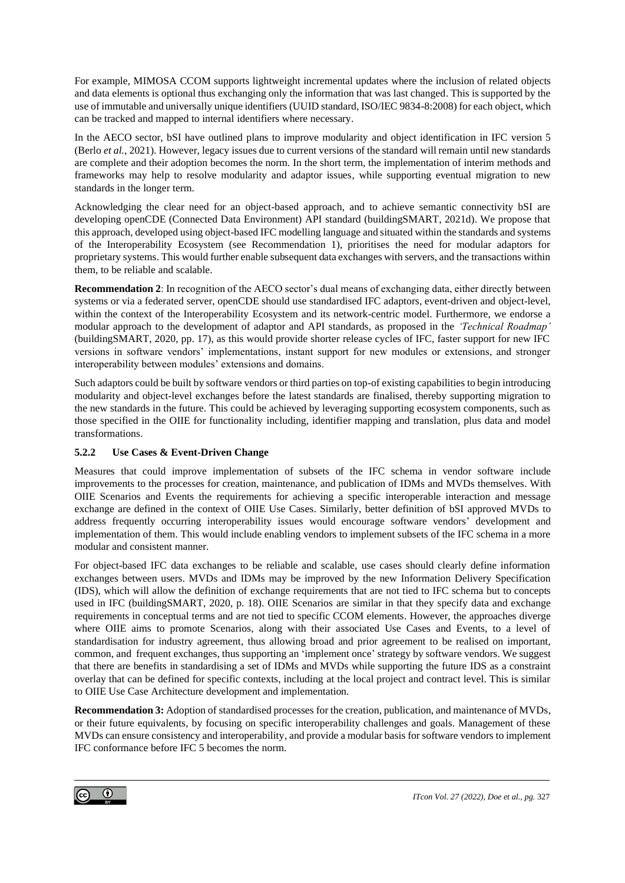For example, MIMOSA CCOM supports lightweight incremental updates where the inclusion of related objects and data elements is optional thus exchanging only the information that was last changed. This is supported by the use of immutable and universally unique identifiers (UUID standard, ISO/IEC 9834-8:2008) for each object, which can be tracked and mapped to internal identifiers where necessary.

In the AECO sector, bSI have outlined plans to improve modularity and object identification in IFC version 5 (Berlo *et al.*, 2021). However, legacy issues due to current versions of the standard will remain until new standards are complete and their adoption becomes the norm. In the short term, the implementation of interim methods and frameworks may help to resolve modularity and adaptor issues, while supporting eventual migration to new standards in the longer term.

Acknowledging the clear need for an object-based approach, and to achieve semantic connectivity bSI are developing openCDE (Connected Data Environment) API standard (buildingSMART, 2021d). We propose that this approach, developed using object-based IFC modelling language and situated within the standards and systems of the Interoperability Ecosystem (see Recommendation 1), prioritises the need for modular adaptors for proprietary systems. This would further enable subsequent data exchanges with servers, and the transactions within them, to be reliable and scalable.

**Recommendation 2**: In recognition of the AECO sector's dual means of exchanging data, either directly between systems or via a federated server, openCDE should use standardised IFC adaptors, event-driven and object-level, within the context of the Interoperability Ecosystem and its network-centric model. Furthermore, we endorse a modular approach to the development of adaptor and API standards, as proposed in the *'Technical Roadmap'*  (buildingSMART, 2020, pp. 17), as this would provide shorter release cycles of IFC, faster support for new IFC versions in software vendors' implementations, instant support for new modules or extensions, and stronger interoperability between modules' extensions and domains.

Such adaptors could be built by software vendors or third parties on top-of existing capabilities to begin introducing modularity and object-level exchanges before the latest standards are finalised, thereby supporting migration to the new standards in the future. This could be achieved by leveraging supporting ecosystem components, such as those specified in the OIIE for functionality including, identifier mapping and translation, plus data and model transformations.

### **5.2.2 Use Cases & Event-Driven Change**

Measures that could improve implementation of subsets of the IFC schema in vendor software include improvements to the processes for creation, maintenance, and publication of IDMs and MVDs themselves. With OIIE Scenarios and Events the requirements for achieving a specific interoperable interaction and message exchange are defined in the context of OIIE Use Cases. Similarly, better definition of bSI approved MVDs to address frequently occurring interoperability issues would encourage software vendors' development and implementation of them. This would include enabling vendors to implement subsets of the IFC schema in a more modular and consistent manner.

For object-based IFC data exchanges to be reliable and scalable, use cases should clearly define information exchanges between users. MVDs and IDMs may be improved by the new Information Delivery Specification (IDS), which will allow the definition of exchange requirements that are not tied to IFC schema but to concepts used in IFC (buildingSMART, 2020, p. 18). OIIE Scenarios are similar in that they specify data and exchange requirements in conceptual terms and are not tied to specific CCOM elements. However, the approaches diverge where OIIE aims to promote Scenarios, along with their associated Use Cases and Events, to a level of standardisation for industry agreement, thus allowing broad and prior agreement to be realised on important, common, and frequent exchanges, thus supporting an 'implement once' strategy by software vendors. We suggest that there are benefits in standardising a set of IDMs and MVDs while supporting the future IDS as a constraint overlay that can be defined for specific contexts, including at the local project and contract level. This is similar to OIIE Use Case Architecture development and implementation.

**Recommendation 3:** Adoption of standardised processes for the creation, publication, and maintenance of MVDs, or their future equivalents, by focusing on specific interoperability challenges and goals. Management of these MVDs can ensure consistency and interoperability, and provide a modular basis for software vendors to implement IFC conformance before IFC 5 becomes the norm.

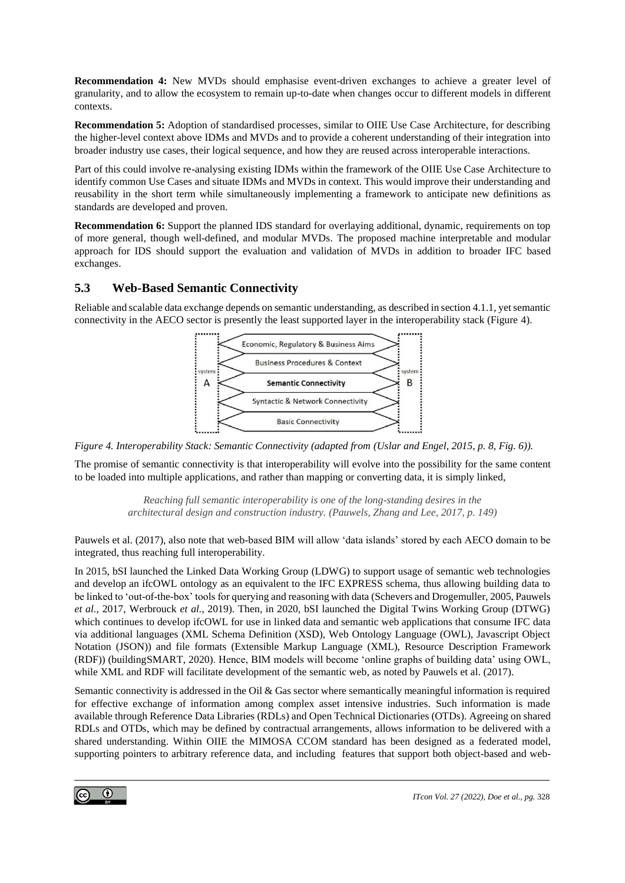**Recommendation 4:** New MVDs should emphasise event-driven exchanges to achieve a greater level of granularity, and to allow the ecosystem to remain up-to-date when changes occur to different models in different contexts.

**Recommendation 5:** Adoption of standardised processes, similar to OIIE Use Case Architecture, for describing the higher-level context above IDMs and MVDs and to provide a coherent understanding of their integration into broader industry use cases, their logical sequence, and how they are reused across interoperable interactions.

Part of this could involve re-analysing existing IDMs within the framework of the OIIE Use Case Architecture to identify common Use Cases and situate IDMs and MVDs in context. This would improve their understanding and reusability in the short term while simultaneously implementing a framework to anticipate new definitions as standards are developed and proven.

**Recommendation 6:** Support the planned IDS standard for overlaying additional, dynamic, requirements on top of more general, though well-defined, and modular MVDs. The proposed machine interpretable and modular approach for IDS should support the evaluation and validation of MVDs in addition to broader IFC based exchanges.

# **5.3 Web-Based Semantic Connectivity**

Reliable and scalable data exchange depends on semantic understanding, as described in section 4.1.1, yet semantic connectivity in the AECO sector is presently the least supported layer in the interoperability stack (Figure 4).



*Figure 4. Interoperability Stack: Semantic Connectivity (adapted from (Uslar and Engel, 2015, p. 8, Fig. 6)).*

The promise of semantic connectivity is that interoperability will evolve into the possibility for the same content to be loaded into multiple applications, and rather than mapping or converting data, it is simply linked,

> *Reaching full semantic interoperability is one of the long-standing desires in the architectural design and construction industry. (Pauwels, Zhang and Lee, 2017, p. 149)*

Pauwels et al. (2017), also note that web-based BIM will allow 'data islands' stored by each AECO domain to be integrated, thus reaching full interoperability.

In 2015, bSI launched the Linked Data Working Group (LDWG) to support usage of semantic web technologies and develop an ifcOWL ontology as an equivalent to the IFC EXPRESS schema, thus allowing building data to be linked to 'out-of-the-box' tools for querying and reasoning with data (Schevers and Drogemuller, 2005, Pauwels *et al.*, 2017, Werbrouck *et al.*, 2019). Then, in 2020, bSI launched the Digital Twins Working Group (DTWG) which continues to develop ifcOWL for use in linked data and semantic web applications that consume IFC data via additional languages (XML Schema Definition (XSD), Web Ontology Language (OWL), Javascript Object Notation (JSON)) and file formats (Extensible Markup Language (XML), Resource Description Framework (RDF)) (buildingSMART, 2020). Hence, BIM models will become 'online graphs of building data' using OWL, while XML and RDF will facilitate development of the semantic web, as noted by Pauwels et al. (2017).

Semantic connectivity is addressed in the Oil & Gas sector where semantically meaningful information is required for effective exchange of information among complex asset intensive industries. Such information is made available through Reference Data Libraries (RDLs) and Open Technical Dictionaries (OTDs). Agreeing on shared RDLs and OTDs, which may be defined by contractual arrangements, allows information to be delivered with a shared understanding. Within OIIE the MIMOSA CCOM standard has been designed as a federated model, supporting pointers to arbitrary reference data, and including features that support both object-based and web-

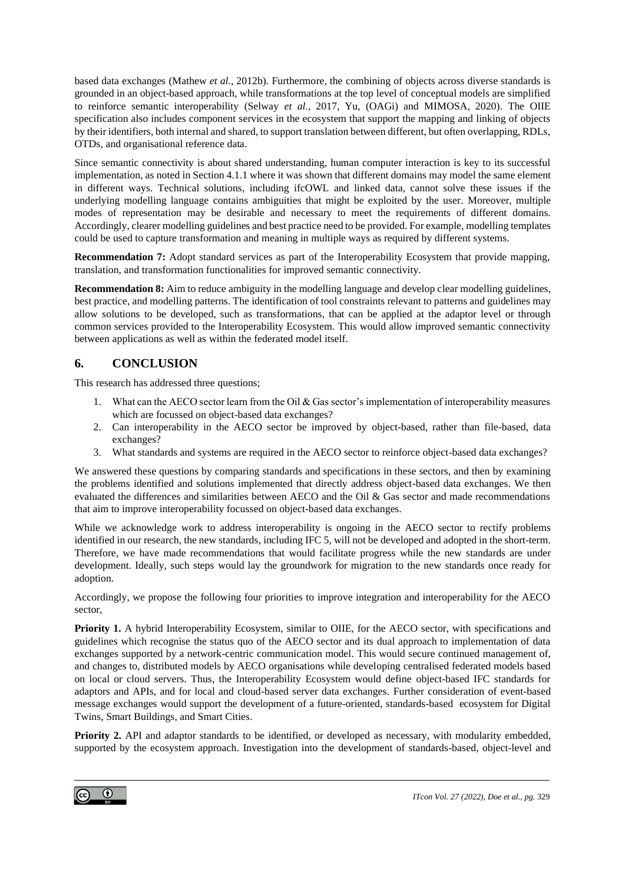based data exchanges (Mathew *et al.*, 2012b). Furthermore, the combining of objects across diverse standards is grounded in an object-based approach, while transformations at the top level of conceptual models are simplified to reinforce semantic interoperability (Selway *et al.*, 2017, Yu, (OAGi) and MIMOSA, 2020). The OIIE specification also includes component services in the ecosystem that support the mapping and linking of objects by their identifiers, both internal and shared, to support translation between different, but often overlapping, RDLs, OTDs, and organisational reference data.

Since semantic connectivity is about shared understanding, human computer interaction is key to its successful implementation, as noted in Section [4.1.1](#page-8-0) where it was shown that different domains may model the same element in different ways. Technical solutions, including ifcOWL and linked data, cannot solve these issues if the underlying modelling language contains ambiguities that might be exploited by the user. Moreover, multiple modes of representation may be desirable and necessary to meet the requirements of different domains. Accordingly, clearer modelling guidelines and best practice need to be provided. For example, modelling templates could be used to capture transformation and meaning in multiple ways as required by different systems.

**Recommendation 7:** Adopt standard services as part of the Interoperability Ecosystem that provide mapping, translation, and transformation functionalities for improved semantic connectivity.

**Recommendation 8:** Aim to reduce ambiguity in the modelling language and develop clear modelling guidelines, best practice, and modelling patterns. The identification of tool constraints relevant to patterns and guidelines may allow solutions to be developed, such as transformations, that can be applied at the adaptor level or through common services provided to the Interoperability Ecosystem. This would allow improved semantic connectivity between applications as well as within the federated model itself.

# **6. CONCLUSION**

This research has addressed three questions;

- 1. What can the AECO sector learn from the Oil & Gas sector's implementation of interoperability measures which are focussed on object-based data exchanges?
- 2. Can interoperability in the AECO sector be improved by object-based, rather than file-based, data exchanges?
- 3. What standards and systems are required in the AECO sector to reinforce object-based data exchanges?

We answered these questions by comparing standards and specifications in these sectors, and then by examining the problems identified and solutions implemented that directly address object-based data exchanges. We then evaluated the differences and similarities between AECO and the Oil & Gas sector and made recommendations that aim to improve interoperability focussed on object-based data exchanges.

While we acknowledge work to address interoperability is ongoing in the AECO sector to rectify problems identified in our research, the new standards, including IFC 5, will not be developed and adopted in the short-term. Therefore, we have made recommendations that would facilitate progress while the new standards are under development. Ideally, such steps would lay the groundwork for migration to the new standards once ready for adoption.

Accordingly, we propose the following four priorities to improve integration and interoperability for the AECO sector,

**Priority 1.** A hybrid Interoperability Ecosystem, similar to OIIE, for the AECO sector, with specifications and guidelines which recognise the status quo of the AECO sector and its dual approach to implementation of data exchanges supported by a network-centric communication model. This would secure continued management of, and changes to, distributed models by AECO organisations while developing centralised federated models based on local or cloud servers. Thus, the Interoperability Ecosystem would define object-based IFC standards for adaptors and APIs, and for local and cloud-based server data exchanges. Further consideration of event-based message exchanges would support the development of a future-oriented, standards-based ecosystem for Digital Twins, Smart Buildings, and Smart Cities.

**Priority 2.** API and adaptor standards to be identified, or developed as necessary, with modularity embedded, supported by the ecosystem approach. Investigation into the development of standards-based, object-level and

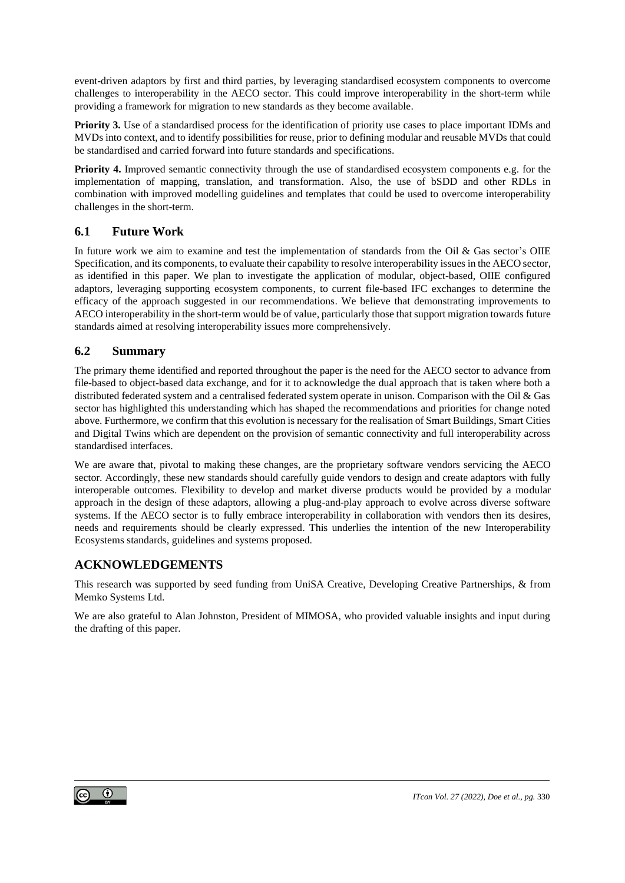event-driven adaptors by first and third parties, by leveraging standardised ecosystem components to overcome challenges to interoperability in the AECO sector. This could improve interoperability in the short-term while providing a framework for migration to new standards as they become available.

**Priority 3.** Use of a standardised process for the identification of priority use cases to place important IDMs and MVDs into context, and to identify possibilities for reuse, prior to defining modular and reusable MVDs that could be standardised and carried forward into future standards and specifications.

**Priority 4.** Improved semantic connectivity through the use of standardised ecosystem components e.g. for the implementation of mapping, translation, and transformation. Also, the use of bSDD and other RDLs in combination with improved modelling guidelines and templates that could be used to overcome interoperability challenges in the short-term.

# **6.1 Future Work**

In future work we aim to examine and test the implementation of standards from the Oil & Gas sector's OIIE Specification, and its components, to evaluate their capability to resolve interoperability issues in the AECO sector, as identified in this paper. We plan to investigate the application of modular, object-based, OIIE configured adaptors, leveraging supporting ecosystem components, to current file-based IFC exchanges to determine the efficacy of the approach suggested in our recommendations. We believe that demonstrating improvements to AECO interoperability in the short-term would be of value, particularly those that support migration towards future standards aimed at resolving interoperability issues more comprehensively.

### **6.2 Summary**

The primary theme identified and reported throughout the paper is the need for the AECO sector to advance from file-based to object-based data exchange, and for it to acknowledge the dual approach that is taken where both a distributed federated system and a centralised federated system operate in unison. Comparison with the Oil & Gas sector has highlighted this understanding which has shaped the recommendations and priorities for change noted above. Furthermore, we confirm that this evolution is necessary for the realisation of Smart Buildings, Smart Cities and Digital Twins which are dependent on the provision of semantic connectivity and full interoperability across standardised interfaces.

We are aware that, pivotal to making these changes, are the proprietary software vendors servicing the AECO sector. Accordingly, these new standards should carefully guide vendors to design and create adaptors with fully interoperable outcomes. Flexibility to develop and market diverse products would be provided by a modular approach in the design of these adaptors, allowing a plug-and-play approach to evolve across diverse software systems. If the AECO sector is to fully embrace interoperability in collaboration with vendors then its desires, needs and requirements should be clearly expressed. This underlies the intention of the new Interoperability Ecosystems standards, guidelines and systems proposed.

# **ACKNOWLEDGEMENTS**

This research was supported by seed funding from UniSA Creative, Developing Creative Partnerships, & from Memko Systems Ltd.

We are also grateful to Alan Johnston, President of MIMOSA, who provided valuable insights and input during the drafting of this paper.

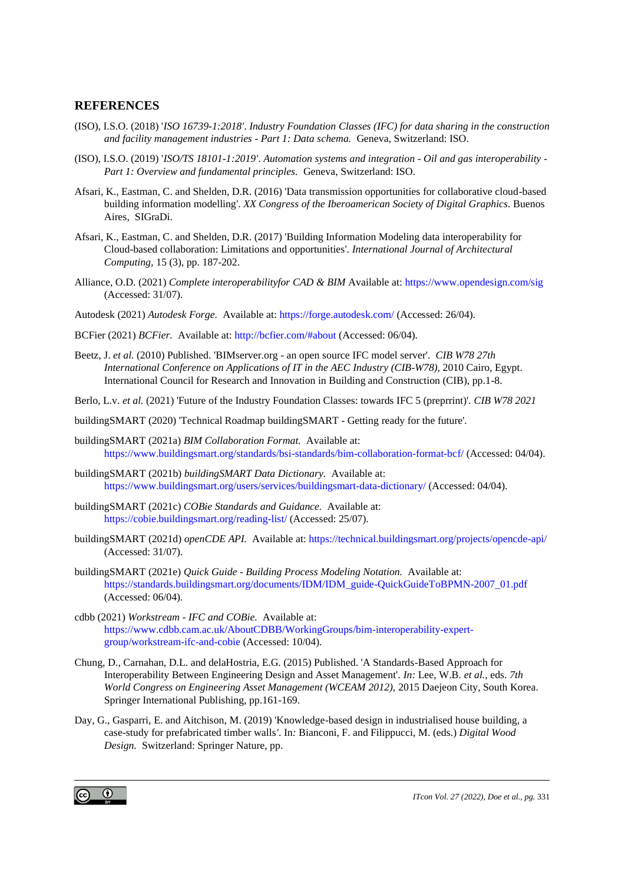### **REFERENCES**

- (ISO), I.S.O. (2018) '*ISO 16739-1:2018'*. *Industry Foundation Classes (IFC) for data sharing in the construction and facility management industries - Part 1: Data schema.* Geneva, Switzerland: ISO.
- (ISO), I.S.O. (2019) '*ISO/TS 18101-1:2019'*. *Automation systems and integration - Oil and gas interoperability - Part 1: Overview and fundamental principles.* Geneva, Switzerland: ISO.
- Afsari, K., Eastman, C. and Shelden, D.R. (2016) 'Data transmission opportunities for collaborative cloud-based building information modelling'. *XX Congress of the Iberoamerican Society of Digital Graphics.* Buenos Aires, SIGraDi.
- Afsari, K., Eastman, C. and Shelden, D.R. (2017) 'Building Information Modeling data interoperability for Cloud-based collaboration: Limitations and opportunities'. *International Journal of Architectural Computing,* 15 (3), pp. 187-202.
- Alliance, O.D. (2021) *Complete interoperabilityfor CAD & BIM* Available at[: https://www.opendesign.com/sig](https://www.opendesign.com/sig) (Accessed: 31/07).
- Autodesk (2021) *Autodesk Forge.* Available at:<https://forge.autodesk.com/> (Accessed: 26/04).
- BCFier (2021) *BCFier.* Available at[: http://bcfier.com/#about](http://bcfier.com/#about) (Accessed: 06/04).
- Beetz, J. *et al.* (2010) Published. 'BIMserver.org an open source IFC model server'. *CIB W78 27th International Conference on Applications of IT in the AEC Industry (CIB-W78),* 2010 Cairo, Egypt. International Council for Research and Innovation in Building and Construction (CIB), pp.1-8.
- Berlo, L.v. *et al.* (2021) 'Future of the Industry Foundation Classes: towards IFC 5 (preprrint)'. *CIB W78 2021*
- buildingSMART (2020) 'Technical Roadmap buildingSMART Getting ready for the future'*.*
- buildingSMART (2021a) *BIM Collaboration Format.* Available at: <https://www.buildingsmart.org/standards/bsi-standards/bim-collaboration-format-bcf/> (Accessed: 04/04).
- buildingSMART (2021b) *buildingSMART Data Dictionary.* Available at: <https://www.buildingsmart.org/users/services/buildingsmart-data-dictionary/> (Accessed: 04/04).
- buildingSMART (2021c) *COBie Standards and Guidance.* Available at: <https://cobie.buildingsmart.org/reading-list/> (Accessed: 25/07).
- buildingSMART (2021d) *openCDE API.* Available at:<https://technical.buildingsmart.org/projects/opencde-api/> (Accessed: 31/07).
- buildingSMART (2021e) *Quick Guide - Building Process Modeling Notation.* Available at: [https://standards.buildingsmart.org/documents/IDM/IDM\\_guide-QuickGuideToBPMN-2007\\_01.pdf](https://standards.buildingsmart.org/documents/IDM/IDM_guide-QuickGuideToBPMN-2007_01.pdf) (Accessed: 06/04).
- cdbb (2021) *Workstream - IFC and COBie.* Available at: [https://www.cdbb.cam.ac.uk/AboutCDBB/WorkingGroups/bim-interoperability-expert](https://www.cdbb.cam.ac.uk/AboutCDBB/WorkingGroups/bim-interoperability-expert-group/workstream-ifc-and-cobie)[group/workstream-ifc-and-cobie](https://www.cdbb.cam.ac.uk/AboutCDBB/WorkingGroups/bim-interoperability-expert-group/workstream-ifc-and-cobie) (Accessed: 10/04).
- Chung, D., Carnahan, D.L. and delaHostria, E.G. (2015) Published. 'A Standards-Based Approach for Interoperability Between Engineering Design and Asset Management'. *In:* Lee, W.B. *et al.*, eds. *7th World Congress on Engineering Asset Management (WCEAM 2012),* 2015 Daejeon City, South Korea. Springer International Publishing, pp.161-169.
- Day, G., Gasparri, E. and Aitchison, M. (2019) 'Knowledge-based design in industrialised house building, a case-study for prefabricated timber walls*'*. In*:* Bianconi, F. and Filippucci, M. (eds.) *Digital Wood Design.* Switzerland: Springer Nature, pp.

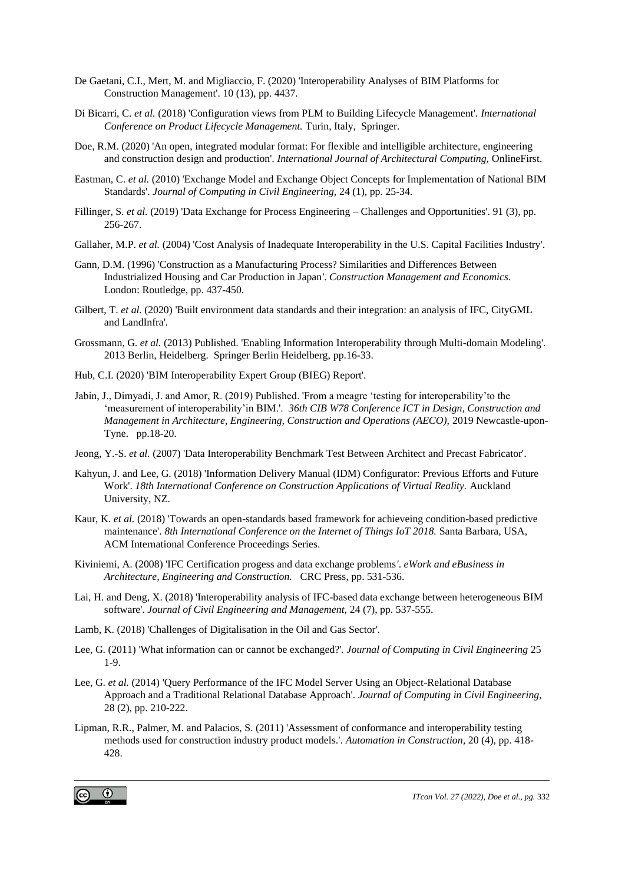- De Gaetani, C.I., Mert, M. and Migliaccio, F. (2020) 'Interoperability Analyses of BIM Platforms for Construction Management'. 10 (13), pp. 4437.
- Di Bicarri, C. *et al.* (2018) 'Configuration views from PLM to Building Lifecycle Management'. *International Conference on Product Lifecycle Management.* Turin, Italy, Springer.
- Doe, R.M. (2020) 'An open, integrated modular format: For flexible and intelligible architecture, engineering and construction design and production'. *International Journal of Architectural Computing,* OnlineFirst.
- Eastman, C. *et al.* (2010) 'Exchange Model and Exchange Object Concepts for Implementation of National BIM Standards'. *Journal of Computing in Civil Engineering,* 24 (1), pp. 25-34.
- Fillinger, S. *et al.* (2019) 'Data Exchange for Process Engineering Challenges and Opportunities'. 91 (3), pp. 256-267.
- Gallaher, M.P. *et al.* (2004) 'Cost Analysis of Inadequate Interoperability in the U.S. Capital Facilities Industry'*.*
- Gann, D.M. (1996) 'Construction as a Manufacturing Process? Similarities and Differences Between Industrialized Housing and Car Production in Japan*'*. *Construction Management and Economics.*  London: Routledge, pp. 437-450.
- Gilbert, T. *et al.* (2020) 'Built environment data standards and their integration: an analysis of IFC, CityGML and LandInfra'*.*
- Grossmann, G. *et al.* (2013) Published. 'Enabling Information Interoperability through Multi-domain Modeling'. 2013 Berlin, Heidelberg. Springer Berlin Heidelberg, pp.16-33.
- Hub, C.I. (2020) 'BIM Interoperability Expert Group (BIEG) Report'*.*
- Jabin, J., Dimyadi, J. and Amor, R. (2019) Published. 'From a meagre 'testing for interoperability'to the 'measurement of interoperability'in BIM.'. *36th CIB W78 Conference ICT in Design, Construction and Management in Architecture, Engineering, Construction and Operations (AECO),* 2019 Newcastle-upon-Tyne. pp.18-20.
- Jeong, Y.-S. *et al.* (2007) 'Data Interoperability Benchmark Test Between Architect and Precast Fabricator'*.*
- Kahyun, J. and Lee, G. (2018) 'Information Delivery Manual (IDM) Configurator: Previous Efforts and Future Work'. *18th International Conference on Construction Applications of Virtual Reality.* Auckland University, NZ.
- Kaur, K. *et al.* (2018) 'Towards an open-standards based framework for achieveing condition-based predictive maintenance'. *8th International Conference on the Internet of Things IoT 2018.* Santa Barbara, USA, ACM International Conference Proceedings Series.
- Kiviniemi, A. (2008) 'IFC Certification progess and data exchange problems*'*. *eWork and eBusiness in Architecture, Engineering and Construction.* CRC Press, pp. 531-536.
- Lai, H. and Deng, X. (2018) 'Interoperability analysis of IFC-based data exchange between heterogeneous BIM software'. *Journal of Civil Engineering and Management,* 24 (7), pp. 537-555.
- Lamb, K. (2018) 'Challenges of Digitalisation in the Oil and Gas Sector'*.*
- Lee, G. (2011) 'What information can or cannot be exchanged?'. *Journal of Computing in Civil Engineering* 25 1-9.
- Lee, G. *et al.* (2014) 'Query Performance of the IFC Model Server Using an Object-Relational Database Approach and a Traditional Relational Database Approach'. *Journal of Computing in Civil Engineering,* 28 (2), pp. 210-222.
- Lipman, R.R., Palmer, M. and Palacios, S. (2011) 'Assessment of conformance and interoperability testing methods used for construction industry product models.'. *Automation in Construction,* 20 (4), pp. 418- 428.

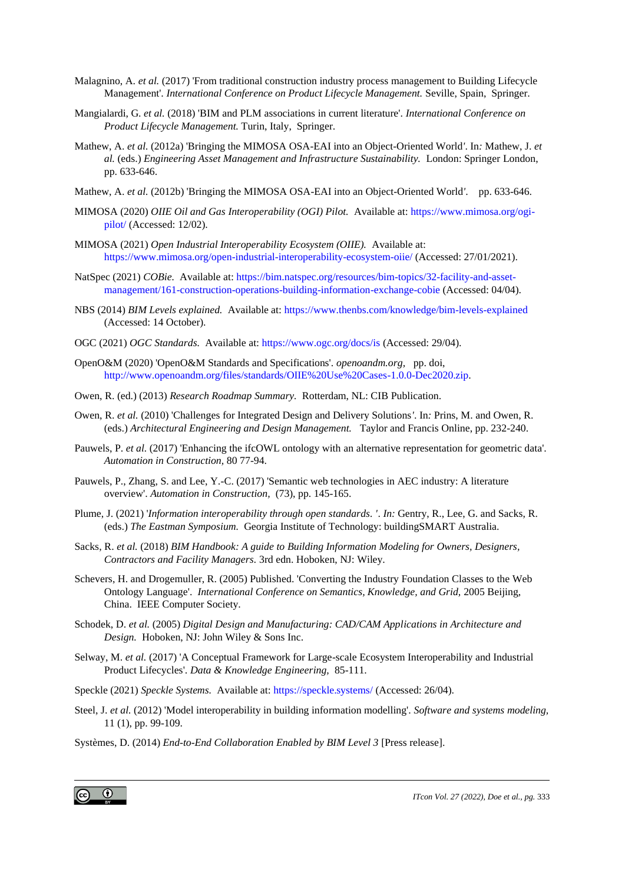- Malagnino, A. *et al.* (2017) 'From traditional construction industry process management to Building Lifecycle Management'. *International Conference on Product Lifecycle Management.* Seville, Spain, Springer.
- Mangialardi, G. *et al.* (2018) 'BIM and PLM associations in current literature'. *International Conference on Product Lifecycle Management.* Turin, Italy, Springer.
- Mathew, A. *et al.* (2012a) 'Bringing the MIMOSA OSA-EAI into an Object-Oriented World*'*. In*:* Mathew, J. *et al.* (eds.) *Engineering Asset Management and Infrastructure Sustainability.* London: Springer London, pp. 633-646.
- Mathew, A. *et al.* (2012b) 'Bringing the MIMOSA OSA-EAI into an Object-Oriented World*'*. pp. 633-646.
- MIMOSA (2020) *OIIE Oil and Gas Interoperability (OGI) Pilot.* Available at: [https://www.mimosa.org/ogi](https://www.mimosa.org/ogi-pilot/)[pilot/](https://www.mimosa.org/ogi-pilot/) (Accessed: 12/02).
- MIMOSA (2021) *Open Industrial Interoperability Ecosystem (OIIE).* Available at: <https://www.mimosa.org/open-industrial-interoperability-ecosystem-oiie/> (Accessed: 27/01/2021).
- NatSpec (2021) *COBie.* Available at: [https://bim.natspec.org/resources/bim-topics/32-facility-and-asset](https://bim.natspec.org/resources/bim-topics/32-facility-and-asset-management/161-construction-operations-building-information-exchange-cobie)[management/161-construction-operations-building-information-exchange-cobie](https://bim.natspec.org/resources/bim-topics/32-facility-and-asset-management/161-construction-operations-building-information-exchange-cobie) (Accessed: 04/04).
- NBS (2014) *BIM Levels explained.* Available at[: https://www.thenbs.com/knowledge/bim-levels-explained](https://www.thenbs.com/knowledge/bim-levels-explained) (Accessed: 14 October).
- OGC (2021) *OGC Standards.* Available at[: https://www.ogc.org/docs/is](https://www.ogc.org/docs/is) (Accessed: 29/04).
- OpenO&M (2020) 'OpenO&M Standards and Specifications'. *openoandm.org,* pp. doi, [http://www.openoandm.org/files/standards/OIIE%20Use%20Cases-1.0.0-Dec2020.zip.](http://www.openoandm.org/files/standards/OIIE%20Use%20Cases-1.0.0-Dec2020.zip)
- Owen, R. (ed.) (2013) *Research Roadmap Summary.* Rotterdam, NL: CIB Publication.
- Owen, R. *et al.* (2010) 'Challenges for Integrated Design and Delivery Solutions*'*. In*:* Prins, M. and Owen, R. (eds.) *Architectural Engineering and Design Management.* Taylor and Francis Online, pp. 232-240.
- Pauwels, P. *et al.* (2017) 'Enhancing the ifcOWL ontology with an alternative representation for geometric data'. *Automation in Construction,* 80 77-94.
- Pauwels, P., Zhang, S. and Lee, Y.-C. (2017) 'Semantic web technologies in AEC industry: A literature overview'. *Automation in Construction,* (73), pp. 145-165.
- Plume, J. (2021) '*Information interoperability through open standards. '*. *In:* Gentry, R., Lee, G. and Sacks, R. (eds.) *The Eastman Symposium.* Georgia Institute of Technology: buildingSMART Australia.
- Sacks, R. *et al.* (2018) *BIM Handbook: A guide to Building Information Modeling for Owners, Designers, Contractors and Facility Managers.* 3rd edn. Hoboken, NJ: Wiley.
- Schevers, H. and Drogemuller, R. (2005) Published. 'Converting the Industry Foundation Classes to the Web Ontology Language'. *International Conference on Semantics, Knowledge, and Grid,* 2005 Beijing, China. IEEE Computer Society.
- Schodek, D. *et al.* (2005) *Digital Design and Manufacturing: CAD/CAM Applications in Architecture and Design.* Hoboken, NJ: John Wiley & Sons Inc.
- Selway, M. *et al.* (2017) 'A Conceptual Framework for Large-scale Ecosystem Interoperability and Industrial Product Lifecycles'. *Data & Knowledge Engineering,* 85-111.
- Speckle (2021) *Speckle Systems.* Available at[: https://speckle.systems/](https://speckle.systems/) (Accessed: 26/04).
- Steel, J. *et al.* (2012) 'Model interoperability in building information modelling'. *Software and systems modeling,* 11 (1), pp. 99-109.
- Systèmes, D. (2014) *End-to-End Collaboration Enabled by BIM Level 3* [Press release].